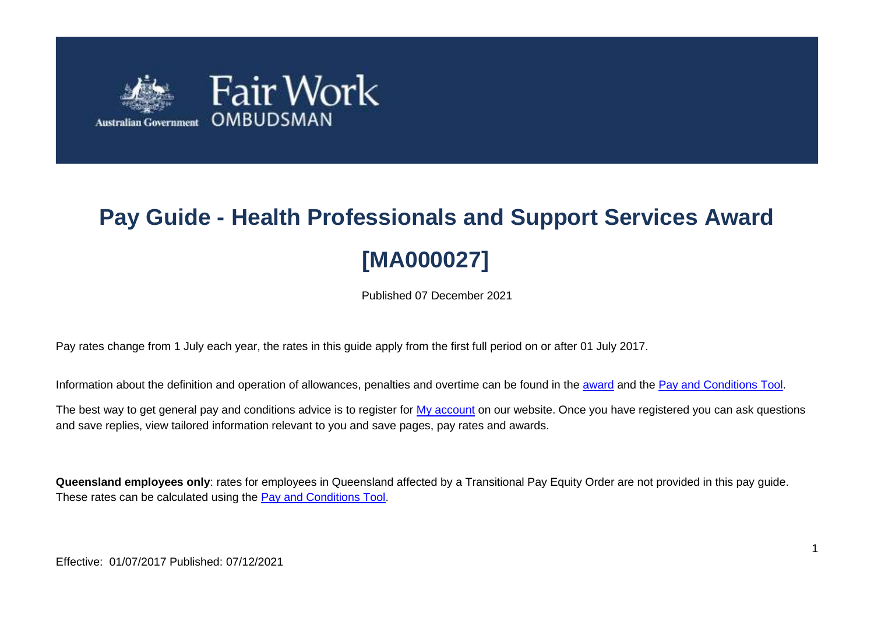

# **Pay Guide - Health Professionals and Support Services Award [MA000027]**

Published 07 December 2021

Pay rates change from 1 July each year, the rates in this guide apply from the first full period on or after 01 July 2017.

Information about the definition and operation of allowances, penalties and overtime can be found in the [award](https://www.fairwork.gov.au/awards-and-agreements/awards/list-of-awards) and the [Pay and Conditions Tool.](https://calculate.fairwork.gov.au/)

The best way to get general pay and conditions advice is to register for [My account](https://www.fairwork.gov.au/my-account/registerpage.aspx) on our website. Once you have registered you can ask questions and save replies, view tailored information relevant to you and save pages, pay rates and awards.

**Queensland employees only**: rates for employees in Queensland affected by a Transitional Pay Equity Order are not provided in this pay guide. These rates can be calculated using the [Pay and Conditions Tool.](https://calculate.fairwork.gov.au/)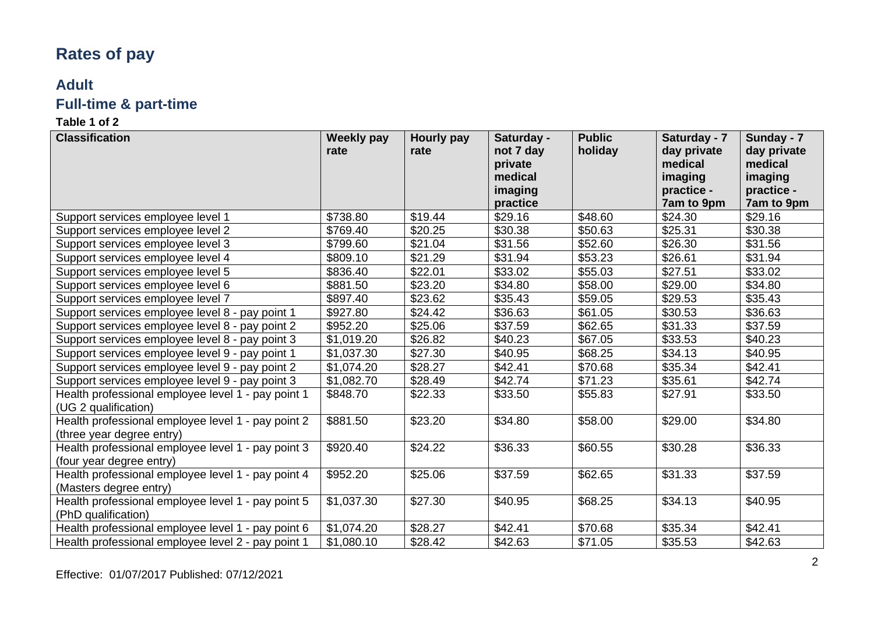### **Rates of pay**

## **Adult**

### **Full-time & part-time**

| <b>Classification</b>                                                           | <b>Weekly pay</b> | <b>Hourly pay</b> | Saturday - | <b>Public</b> | Saturday - 7 | Sunday - 7  |
|---------------------------------------------------------------------------------|-------------------|-------------------|------------|---------------|--------------|-------------|
|                                                                                 | rate              | rate              | not 7 day  | holiday       | day private  | day private |
|                                                                                 |                   |                   | private    |               | medical      | medical     |
|                                                                                 |                   |                   | medical    |               | imaging      | imaging     |
|                                                                                 |                   |                   | imaging    |               | practice -   | practice -  |
|                                                                                 |                   |                   | practice   |               | 7am to 9pm   | 7am to 9pm  |
| Support services employee level 1                                               | \$738.80          | \$19.44           | \$29.16    | \$48.60       | \$24.30      | \$29.16     |
| Support services employee level 2                                               | \$769.40          | \$20.25           | \$30.38    | \$50.63       | \$25.31      | \$30.38     |
| Support services employee level 3                                               | \$799.60          | \$21.04           | \$31.56    | \$52.60       | \$26.30      | \$31.56     |
| Support services employee level 4                                               | \$809.10          | \$21.29           | \$31.94    | \$53.23       | \$26.61      | \$31.94     |
| Support services employee level 5                                               | \$836.40          | \$22.01           | \$33.02    | \$55.03       | \$27.51      | \$33.02     |
| Support services employee level 6                                               | \$881.50          | \$23.20           | \$34.80    | \$58.00       | \$29.00      | \$34.80     |
| Support services employee level 7                                               | \$897.40          | \$23.62           | \$35.43    | \$59.05       | \$29.53      | \$35.43     |
| Support services employee level 8 - pay point 1                                 | \$927.80          | \$24.42           | \$36.63    | \$61.05       | \$30.53      | \$36.63     |
| Support services employee level 8 - pay point 2                                 | \$952.20          | \$25.06           | \$37.59    | \$62.65       | \$31.33      | \$37.59     |
| Support services employee level 8 - pay point 3                                 | \$1,019.20        | \$26.82           | \$40.23    | \$67.05       | \$33.53      | \$40.23     |
| Support services employee level 9 - pay point 1                                 | \$1,037.30        | \$27.30           | \$40.95    | \$68.25       | \$34.13      | \$40.95     |
| Support services employee level 9 - pay point 2                                 | \$1,074.20        | \$28.27           | \$42.41    | \$70.68       | \$35.34      | \$42.41     |
| Support services employee level 9 - pay point 3                                 | \$1,082.70        | \$28.49           | \$42.74    | \$71.23       | \$35.61      | \$42.74     |
| Health professional employee level 1 - pay point 1<br>(UG 2 qualification)      | \$848.70          | \$22.33           | \$33.50    | \$55.83       | \$27.91      | \$33.50     |
| Health professional employee level 1 - pay point 2<br>(three year degree entry) | \$881.50          | \$23.20           | \$34.80    | \$58.00       | \$29.00      | \$34.80     |
| Health professional employee level 1 - pay point 3<br>(four year degree entry)  | \$920.40          | \$24.22           | \$36.33    | \$60.55       | \$30.28      | \$36.33     |
| Health professional employee level 1 - pay point 4<br>(Masters degree entry)    | \$952.20          | \$25.06           | \$37.59    | \$62.65       | \$31.33      | \$37.59     |
| Health professional employee level 1 - pay point 5<br>(PhD qualification)       | \$1,037.30        | \$27.30           | \$40.95    | \$68.25       | \$34.13      | \$40.95     |
| Health professional employee level 1 - pay point 6                              | \$1,074.20        | \$28.27           | \$42.41    | \$70.68       | \$35.34      | \$42.41     |
| Health professional employee level 2 - pay point 1                              | \$1,080.10        | \$28.42           | \$42.63    | \$71.05       | \$35.53      | \$42.63     |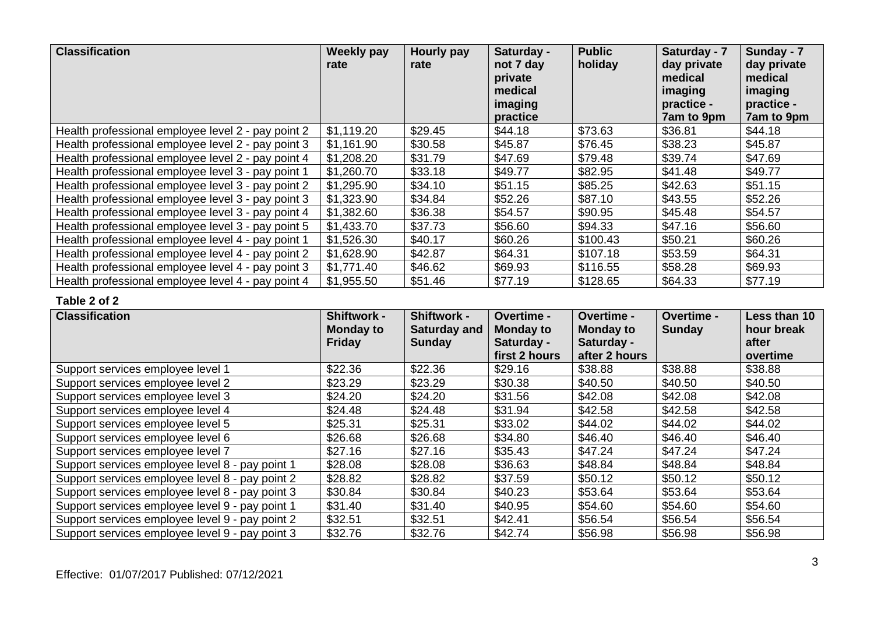| <b>Classification</b>                              | <b>Weekly pay</b><br>rate | Hourly pay<br>rate | Saturday -<br>not 7 day<br>private<br>medical<br>imaging<br>practice | <b>Public</b><br>holiday | Saturday - 7<br>day private<br>medical<br>imaging<br>practice -<br>7am to 9pm | Sunday - 7<br>day private<br>medical<br>imaging<br>practice -<br>7am to 9pm |
|----------------------------------------------------|---------------------------|--------------------|----------------------------------------------------------------------|--------------------------|-------------------------------------------------------------------------------|-----------------------------------------------------------------------------|
| Health professional employee level 2 - pay point 2 | \$1,119.20                | \$29.45            | \$44.18                                                              | \$73.63                  | \$36.81                                                                       | \$44.18                                                                     |
| Health professional employee level 2 - pay point 3 | \$1,161.90                | \$30.58            | \$45.87                                                              | \$76.45                  | \$38.23                                                                       | \$45.87                                                                     |
| Health professional employee level 2 - pay point 4 | \$1,208.20                | \$31.79            | \$47.69                                                              | \$79.48                  | \$39.74                                                                       | \$47.69                                                                     |
| Health professional employee level 3 - pay point 1 | \$1,260.70                | \$33.18            | \$49.77                                                              | \$82.95                  | \$41.48                                                                       | \$49.77                                                                     |
| Health professional employee level 3 - pay point 2 | \$1,295.90                | \$34.10            | \$51.15                                                              | \$85.25                  | \$42.63                                                                       | \$51.15                                                                     |
| Health professional employee level 3 - pay point 3 | \$1,323.90                | \$34.84            | \$52.26                                                              | \$87.10                  | \$43.55                                                                       | \$52.26                                                                     |
| Health professional employee level 3 - pay point 4 | \$1,382.60                | \$36.38            | \$54.57                                                              | \$90.95                  | \$45.48                                                                       | \$54.57                                                                     |
| Health professional employee level 3 - pay point 5 | \$1,433.70                | \$37.73            | \$56.60                                                              | \$94.33                  | \$47.16                                                                       | \$56.60                                                                     |
| Health professional employee level 4 - pay point 1 | \$1,526.30                | \$40.17            | \$60.26                                                              | \$100.43                 | \$50.21                                                                       | \$60.26                                                                     |
| Health professional employee level 4 - pay point 2 | \$1,628.90                | \$42.87            | \$64.31                                                              | \$107.18                 | \$53.59                                                                       | \$64.31                                                                     |
| Health professional employee level 4 - pay point 3 | \$1,771.40                | \$46.62            | \$69.93                                                              | \$116.55                 | \$58.28                                                                       | \$69.93                                                                     |
| Health professional employee level 4 - pay point 4 | \$1,955.50                | \$51.46            | \$77.19                                                              | \$128.65                 | \$64.33                                                                       | \$77.19                                                                     |

| <b>Classification</b>                           | Shiftwork -<br><b>Monday to</b> | <b>Shiftwork -</b><br><b>Saturday and</b> | <b>Overtime -</b><br><b>Monday to</b> | <b>Overtime -</b><br><b>Monday to</b> | <b>Overtime -</b><br><b>Sunday</b> | Less than 10<br>hour break |
|-------------------------------------------------|---------------------------------|-------------------------------------------|---------------------------------------|---------------------------------------|------------------------------------|----------------------------|
|                                                 | <b>Friday</b>                   | <b>Sunday</b>                             | Saturday -                            | Saturday -                            |                                    | after                      |
|                                                 |                                 |                                           | first 2 hours                         | after 2 hours                         |                                    | overtime                   |
| Support services employee level 1               | \$22.36                         | \$22.36                                   | \$29.16                               | \$38.88                               | \$38.88                            | \$38.88                    |
| Support services employee level 2               | \$23.29                         | \$23.29                                   | \$30.38                               | \$40.50                               | \$40.50                            | \$40.50                    |
| Support services employee level 3               | \$24.20                         | \$24.20                                   | \$31.56                               | \$42.08                               | \$42.08                            | \$42.08                    |
| Support services employee level 4               | \$24.48                         | \$24.48                                   | \$31.94                               | \$42.58                               | \$42.58                            | \$42.58                    |
| Support services employee level 5               | \$25.31                         | \$25.31                                   | \$33.02                               | \$44.02                               | \$44.02                            | \$44.02                    |
| Support services employee level 6               | \$26.68                         | \$26.68                                   | \$34.80                               | \$46.40                               | \$46.40                            | \$46.40                    |
| Support services employee level 7               | \$27.16                         | \$27.16                                   | \$35.43                               | \$47.24                               | \$47.24                            | \$47.24                    |
| Support services employee level 8 - pay point 1 | \$28.08                         | \$28.08                                   | \$36.63                               | \$48.84                               | \$48.84                            | \$48.84                    |
| Support services employee level 8 - pay point 2 | \$28.82                         | \$28.82                                   | \$37.59                               | \$50.12                               | \$50.12                            | \$50.12                    |
| Support services employee level 8 - pay point 3 | \$30.84                         | \$30.84                                   | \$40.23                               | \$53.64                               | \$53.64                            | \$53.64                    |
| Support services employee level 9 - pay point 1 | \$31.40                         | \$31.40                                   | \$40.95                               | \$54.60                               | \$54.60                            | \$54.60                    |
| Support services employee level 9 - pay point 2 | \$32.51                         | \$32.51                                   | \$42.41                               | \$56.54                               | \$56.54                            | \$56.54                    |
| Support services employee level 9 - pay point 3 | \$32.76                         | \$32.76                                   | \$42.74                               | \$56.98                               | \$56.98                            | \$56.98                    |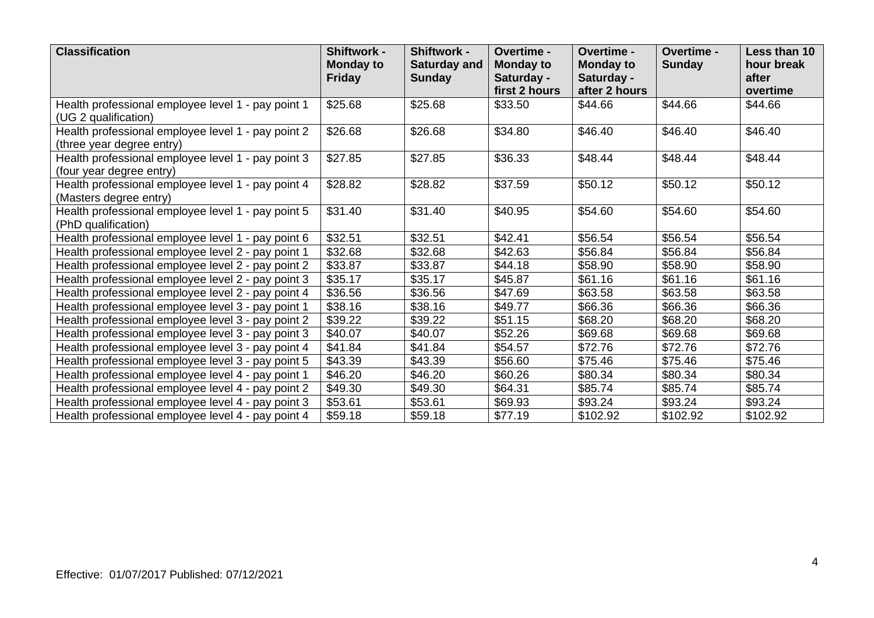| <b>Classification</b>                                                           | <b>Shiftwork -</b><br><b>Monday to</b><br><b>Friday</b> | Shiftwork -<br>Saturday and<br><b>Sunday</b> | Overtime -<br><b>Monday to</b><br>Saturday - | Overtime -<br><b>Monday to</b><br>Saturday - | Overtime -<br><b>Sunday</b> | Less than 10<br>hour break<br>after |
|---------------------------------------------------------------------------------|---------------------------------------------------------|----------------------------------------------|----------------------------------------------|----------------------------------------------|-----------------------------|-------------------------------------|
|                                                                                 |                                                         |                                              | first 2 hours                                | after 2 hours                                |                             | overtime                            |
| Health professional employee level 1 - pay point 1<br>(UG 2 qualification)      | \$25.68                                                 | \$25.68                                      | \$33.50                                      | \$44.66                                      | \$44.66                     | \$44.66                             |
| Health professional employee level 1 - pay point 2<br>(three year degree entry) | \$26.68                                                 | \$26.68                                      | \$34.80                                      | \$46.40                                      | \$46.40                     | \$46.40                             |
| Health professional employee level 1 - pay point 3<br>(four year degree entry)  | \$27.85                                                 | \$27.85                                      | \$36.33                                      | \$48.44                                      | \$48.44                     | \$48.44                             |
| Health professional employee level 1 - pay point 4<br>(Masters degree entry)    | \$28.82                                                 | \$28.82                                      | \$37.59                                      | \$50.12                                      | \$50.12                     | \$50.12                             |
| Health professional employee level 1 - pay point 5<br>(PhD qualification)       | \$31.40                                                 | \$31.40                                      | \$40.95                                      | \$54.60                                      | \$54.60                     | \$54.60                             |
| Health professional employee level 1 - pay point 6                              | \$32.51                                                 | \$32.51                                      | \$42.41                                      | \$56.54                                      | \$56.54                     | \$56.54                             |
| Health professional employee level 2 - pay point 1                              | \$32.68                                                 | \$32.68                                      | \$42.63                                      | \$56.84                                      | \$56.84                     | \$56.84                             |
| Health professional employee level 2 - pay point 2                              | \$33.87                                                 | \$33.87                                      | \$44.18                                      | \$58.90                                      | \$58.90                     | \$58.90                             |
| Health professional employee level 2 - pay point 3                              | \$35.17                                                 | \$35.17                                      | \$45.87                                      | \$61.16                                      | \$61.16                     | \$61.16                             |
| Health professional employee level 2 - pay point 4                              | \$36.56                                                 | \$36.56                                      | \$47.69                                      | \$63.58                                      | \$63.58                     | \$63.58                             |
| Health professional employee level 3 - pay point 1                              | \$38.16                                                 | \$38.16                                      | \$49.77                                      | \$66.36                                      | \$66.36                     | \$66.36                             |
| Health professional employee level 3 - pay point 2                              | \$39.22                                                 | \$39.22                                      | \$51.15                                      | \$68.20                                      | \$68.20                     | \$68.20                             |
| Health professional employee level 3 - pay point 3                              | \$40.07                                                 | \$40.07                                      | \$52.26                                      | \$69.68                                      | \$69.68                     | \$69.68                             |
| Health professional employee level 3 - pay point 4                              | \$41.84                                                 | \$41.84                                      | \$54.57                                      | \$72.76                                      | \$72.76                     | \$72.76                             |
| Health professional employee level 3 - pay point 5                              | \$43.39                                                 | \$43.39                                      | \$56.60                                      | \$75.46                                      | \$75.46                     | \$75.46                             |
| Health professional employee level 4 - pay point 1                              | \$46.20                                                 | \$46.20                                      | \$60.26                                      | \$80.34                                      | \$80.34                     | \$80.34                             |
| Health professional employee level 4 - pay point 2                              | \$49.30                                                 | \$49.30                                      | \$64.31                                      | \$85.74                                      | \$85.74                     | \$85.74                             |
| Health professional employee level 4 - pay point 3                              | \$53.61                                                 | \$53.61                                      | \$69.93                                      | \$93.24                                      | \$93.24                     | \$93.24                             |
| Health professional employee level 4 - pay point 4                              | \$59.18                                                 | \$59.18                                      | \$77.19                                      | \$102.92                                     | \$102.92                    | \$102.92                            |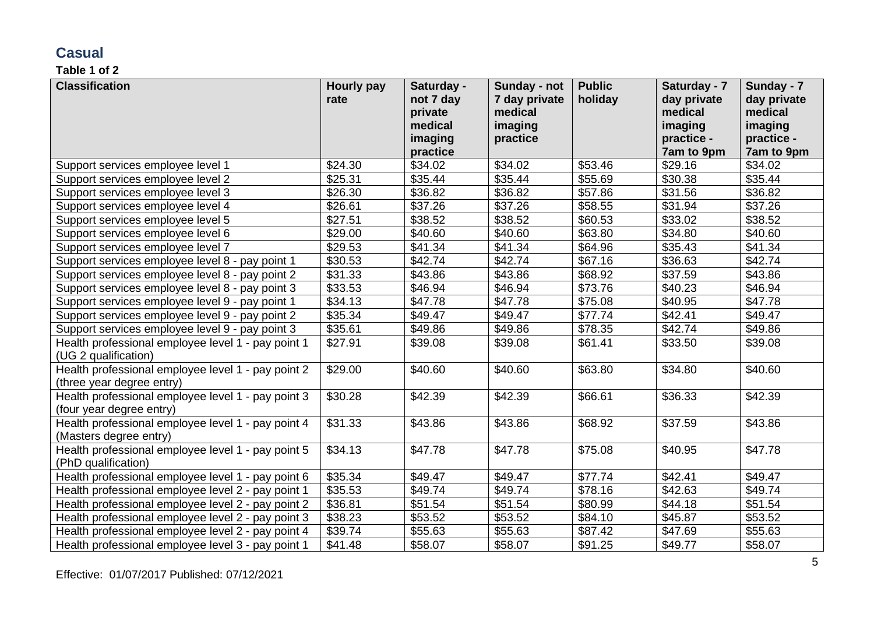### **Casual**

| <b>Classification</b>                              | Hourly pay | Saturday -          | Sunday - not  | <b>Public</b> | Saturday - 7          | Sunday - 7            |
|----------------------------------------------------|------------|---------------------|---------------|---------------|-----------------------|-----------------------|
|                                                    | rate       | not 7 day           | 7 day private | holiday       | day private           | day private           |
|                                                    |            | private             | medical       |               | medical               | medical               |
|                                                    |            | medical             | imaging       |               | imaging               | imaging               |
|                                                    |            | imaging             | practice      |               | practice -            | practice -            |
|                                                    | \$24.30    | practice<br>\$34.02 | \$34.02       | \$53.46       | 7am to 9pm<br>\$29.16 | 7am to 9pm<br>\$34.02 |
| Support services employee level 1                  |            |                     |               |               |                       |                       |
| Support services employee level 2                  | \$25.31    | \$35.44             | \$35.44       | \$55.69       | \$30.38               | \$35.44               |
| Support services employee level 3                  | \$26.30    | \$36.82             | \$36.82       | \$57.86       | \$31.56               | \$36.82               |
| Support services employee level 4                  | \$26.61    | \$37.26             | \$37.26       | \$58.55       | \$31.94               | \$37.26               |
| Support services employee level 5                  | \$27.51    | \$38.52             | \$38.52       | \$60.53       | \$33.02               | \$38.52               |
| Support services employee level 6                  | \$29.00    | \$40.60             | \$40.60       | \$63.80       | \$34.80               | \$40.60               |
| Support services employee level 7                  | \$29.53    | \$41.34             | \$41.34       | \$64.96       | \$35.43               | \$41.34               |
| Support services employee level 8 - pay point 1    | \$30.53    | \$42.74             | \$42.74       | \$67.16       | \$36.63               | \$42.74               |
| Support services employee level 8 - pay point 2    | \$31.33    | \$43.86             | \$43.86       | \$68.92       | \$37.59               | \$43.86               |
| Support services employee level 8 - pay point 3    | \$33.53    | \$46.94             | \$46.94       | \$73.76       | \$40.23               | \$46.94               |
| Support services employee level 9 - pay point 1    | \$34.13    | \$47.78             | \$47.78       | \$75.08       | \$40.95               | \$47.78               |
| Support services employee level 9 - pay point 2    | \$35.34    | \$49.47             | \$49.47       | \$77.74       | \$42.41               | \$49.47               |
| Support services employee level 9 - pay point 3    | \$35.61    | \$49.86             | \$49.86       | \$78.35       | \$42.74               | \$49.86               |
| Health professional employee level 1 - pay point 1 | \$27.91    | \$39.08             | \$39.08       | \$61.41       | \$33.50               | \$39.08               |
| (UG 2 qualification)                               |            |                     |               |               |                       |                       |
| Health professional employee level 1 - pay point 2 | \$29.00    | \$40.60             | \$40.60       | \$63.80       | \$34.80               | \$40.60               |
| (three year degree entry)                          |            |                     |               |               |                       |                       |
| Health professional employee level 1 - pay point 3 | \$30.28    | \$42.39             | \$42.39       | \$66.61       | \$36.33               | \$42.39               |
| (four year degree entry)                           |            |                     |               |               |                       |                       |
| Health professional employee level 1 - pay point 4 | \$31.33    | \$43.86             | \$43.86       | \$68.92       | \$37.59               | \$43.86               |
| (Masters degree entry)                             |            |                     |               |               |                       |                       |
| Health professional employee level 1 - pay point 5 | \$34.13    | \$47.78             | \$47.78       | \$75.08       | \$40.95               | \$47.78               |
| (PhD qualification)                                |            |                     |               |               |                       |                       |
| Health professional employee level 1 - pay point 6 | \$35.34    | \$49.47             | \$49.47       | \$77.74       | \$42.41               | \$49.47               |
| Health professional employee level 2 - pay point 1 | \$35.53    | \$49.74             | \$49.74       | \$78.16       | \$42.63               | \$49.74               |
| Health professional employee level 2 - pay point 2 | \$36.81    | \$51.54             | \$51.54       | \$80.99       | \$44.18               | \$51.54               |
| Health professional employee level 2 - pay point 3 | \$38.23    | \$53.52             | \$53.52       | \$84.10       | \$45.87               | \$53.52               |
| Health professional employee level 2 - pay point 4 | \$39.74    | \$55.63             | \$55.63       | \$87.42       | \$47.69               | \$55.63               |
| Health professional employee level 3 - pay point 1 | \$41.48    | \$58.07             | \$58.07       | \$91.25       | \$49.77               | \$58.07               |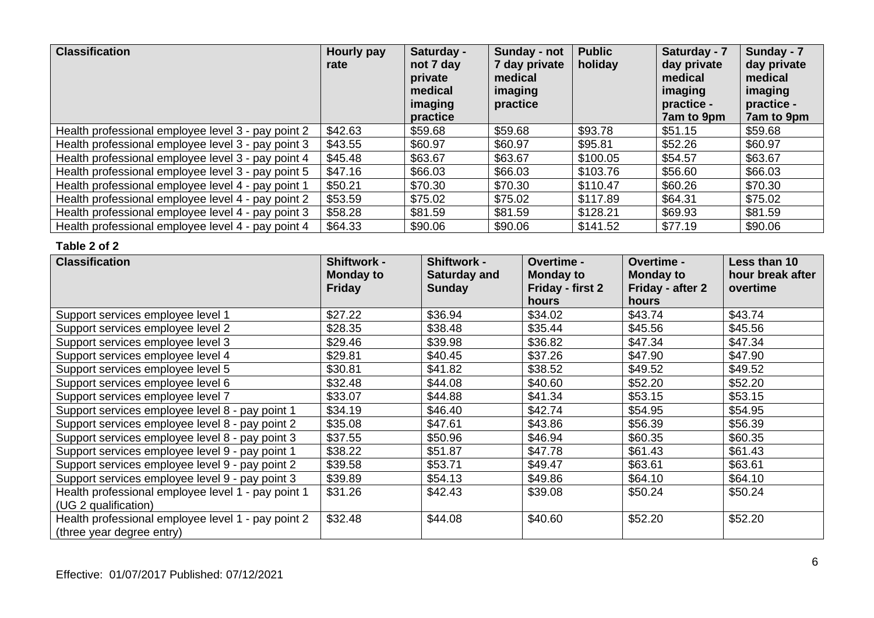| <b>Classification</b>                              | Hourly pay<br>rate | Saturday -<br>not 7 day<br>private<br>medical<br>imaging<br>practice | Sunday - not<br>7 day private<br>medical<br>imaging<br>practice | <b>Public</b><br>holiday | Saturday - 7<br>day private<br>medical<br>imaging<br>practice -<br>7am to 9pm | Sunday - 7<br>day private<br>medical<br>imaging<br>practice -<br>7am to 9pm |
|----------------------------------------------------|--------------------|----------------------------------------------------------------------|-----------------------------------------------------------------|--------------------------|-------------------------------------------------------------------------------|-----------------------------------------------------------------------------|
| Health professional employee level 3 - pay point 2 | \$42.63            | \$59.68                                                              | \$59.68                                                         | \$93.78                  | \$51.15                                                                       | \$59.68                                                                     |
| Health professional employee level 3 - pay point 3 | \$43.55            | \$60.97                                                              | \$60.97                                                         | \$95.81                  | \$52.26                                                                       | \$60.97                                                                     |
| Health professional employee level 3 - pay point 4 | \$45.48            | \$63.67                                                              | \$63.67                                                         | \$100.05                 | \$54.57                                                                       | \$63.67                                                                     |
| Health professional employee level 3 - pay point 5 | \$47.16            | \$66.03                                                              | \$66.03                                                         | \$103.76                 | \$56.60                                                                       | \$66.03                                                                     |
| Health professional employee level 4 - pay point 1 | \$50.21            | \$70.30                                                              | \$70.30                                                         | \$110.47                 | \$60.26                                                                       | \$70.30                                                                     |
| Health professional employee level 4 - pay point 2 | \$53.59            | \$75.02                                                              | \$75.02                                                         | \$117.89                 | \$64.31                                                                       | \$75.02                                                                     |
| Health professional employee level 4 - pay point 3 | \$58.28            | \$81.59                                                              | \$81.59                                                         | \$128.21                 | \$69.93                                                                       | \$81.59                                                                     |
| Health professional employee level 4 - pay point 4 | \$64.33            | \$90.06                                                              | \$90.06                                                         | \$141.52                 | \$77.19                                                                       | \$90.06                                                                     |

| <b>Classification</b>                                                           | <b>Shiftwork -</b><br>Monday to | <b>Shiftwork -</b><br><b>Saturday and</b> | <b>Overtime -</b><br><b>Monday to</b> | <b>Overtime -</b><br><b>Monday to</b> | Less than 10<br>hour break after |
|---------------------------------------------------------------------------------|---------------------------------|-------------------------------------------|---------------------------------------|---------------------------------------|----------------------------------|
|                                                                                 | <b>Friday</b>                   | <b>Sunday</b>                             | Friday - first 2<br>hours             | Friday - after 2<br>hours             | overtime                         |
| Support services employee level 1                                               | \$27.22                         | \$36.94                                   | \$34.02                               | \$43.74                               | \$43.74                          |
| Support services employee level 2                                               | \$28.35                         | \$38.48                                   | \$35.44                               | \$45.56                               | \$45.56                          |
| Support services employee level 3                                               | \$29.46                         | \$39.98                                   | \$36.82                               | \$47.34                               | \$47.34                          |
| Support services employee level 4                                               | \$29.81                         | \$40.45                                   | \$37.26                               | \$47.90                               | \$47.90                          |
| Support services employee level 5                                               | \$30.81                         | \$41.82                                   | \$38.52                               | \$49.52                               | \$49.52                          |
| Support services employee level 6                                               | \$32.48                         | \$44.08                                   | \$40.60                               | \$52.20                               | \$52.20                          |
| Support services employee level 7                                               | \$33.07                         | \$44.88                                   | \$41.34                               | \$53.15                               | \$53.15                          |
| Support services employee level 8 - pay point 1                                 | \$34.19                         | \$46.40                                   | \$42.74                               | \$54.95                               | \$54.95                          |
| Support services employee level 8 - pay point 2                                 | \$35.08                         | \$47.61                                   | \$43.86                               | \$56.39                               | \$56.39                          |
| Support services employee level 8 - pay point 3                                 | \$37.55                         | \$50.96                                   | \$46.94                               | \$60.35                               | \$60.35                          |
| Support services employee level 9 - pay point 1                                 | \$38.22                         | \$51.87                                   | \$47.78                               | \$61.43                               | \$61.43                          |
| Support services employee level 9 - pay point 2                                 | \$39.58                         | \$53.71                                   | \$49.47                               | \$63.61                               | \$63.61                          |
| Support services employee level 9 - pay point 3                                 | \$39.89                         | \$54.13                                   | \$49.86                               | \$64.10                               | \$64.10                          |
| Health professional employee level 1 - pay point 1                              | \$31.26                         | \$42.43                                   | \$39.08                               | \$50.24                               | \$50.24                          |
| (UG 2 qualification)                                                            |                                 |                                           |                                       |                                       |                                  |
| Health professional employee level 1 - pay point 2<br>(three year degree entry) | \$32.48                         | \$44.08                                   | \$40.60                               | \$52.20                               | \$52.20                          |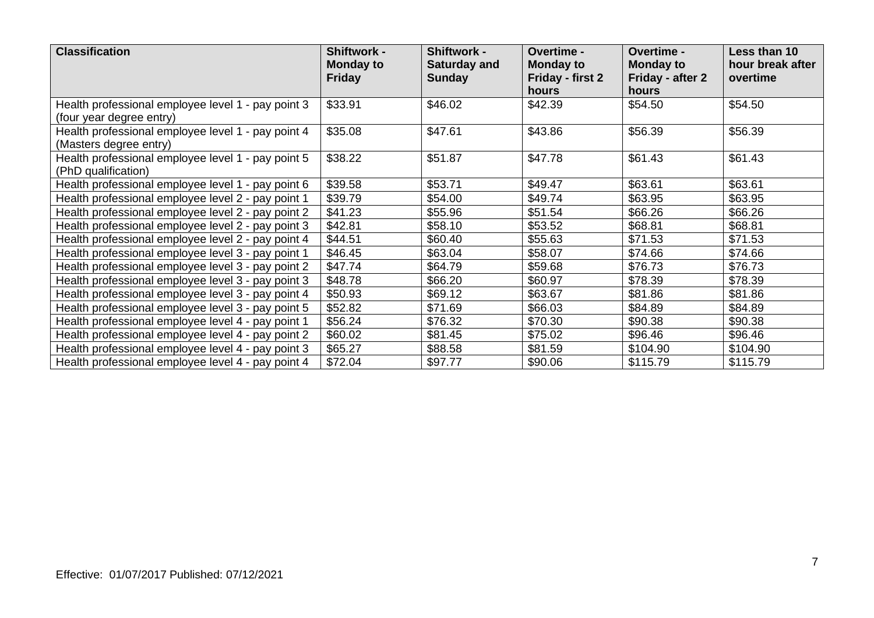| <b>Classification</b>                                                          | <b>Shiftwork -</b><br><b>Monday to</b><br><b>Friday</b> | <b>Shiftwork -</b><br><b>Saturday and</b><br><b>Sunday</b> | Overtime -<br><b>Monday to</b><br>Friday - first 2<br><b>hours</b> | Overtime -<br><b>Monday to</b><br>Friday - after 2<br>hours | Less than 10<br>hour break after<br>overtime |
|--------------------------------------------------------------------------------|---------------------------------------------------------|------------------------------------------------------------|--------------------------------------------------------------------|-------------------------------------------------------------|----------------------------------------------|
| Health professional employee level 1 - pay point 3<br>(four year degree entry) | \$33.91                                                 | \$46.02                                                    | \$42.39                                                            | \$54.50                                                     | \$54.50                                      |
| Health professional employee level 1 - pay point 4<br>(Masters degree entry)   | \$35.08                                                 | \$47.61                                                    | \$43.86                                                            | \$56.39                                                     | \$56.39                                      |
| Health professional employee level 1 - pay point 5<br>(PhD qualification)      | \$38.22                                                 | \$51.87                                                    | \$47.78                                                            | \$61.43                                                     | \$61.43                                      |
| Health professional employee level 1 - pay point 6                             | \$39.58                                                 | \$53.71                                                    | \$49.47                                                            | \$63.61                                                     | \$63.61                                      |
| Health professional employee level 2 - pay point 1                             | \$39.79                                                 | \$54.00                                                    | \$49.74                                                            | \$63.95                                                     | \$63.95                                      |
| Health professional employee level 2 - pay point 2                             | \$41.23                                                 | \$55.96                                                    | \$51.54                                                            | \$66.26                                                     | \$66.26                                      |
| Health professional employee level 2 - pay point 3                             | \$42.81                                                 | \$58.10                                                    | \$53.52                                                            | \$68.81                                                     | \$68.81                                      |
| Health professional employee level 2 - pay point 4                             | \$44.51                                                 | \$60.40                                                    | \$55.63                                                            | \$71.53                                                     | \$71.53                                      |
| Health professional employee level 3 - pay point 1                             | \$46.45                                                 | \$63.04                                                    | \$58.07                                                            | \$74.66                                                     | \$74.66                                      |
| Health professional employee level 3 - pay point 2                             | \$47.74                                                 | \$64.79                                                    | \$59.68                                                            | \$76.73                                                     | \$76.73                                      |
| Health professional employee level 3 - pay point 3                             | \$48.78                                                 | \$66.20                                                    | \$60.97                                                            | \$78.39                                                     | \$78.39                                      |
| Health professional employee level 3 - pay point 4                             | \$50.93                                                 | \$69.12                                                    | \$63.67                                                            | \$81.86                                                     | \$81.86                                      |
| Health professional employee level 3 - pay point 5                             | \$52.82                                                 | \$71.69                                                    | \$66.03                                                            | \$84.89                                                     | \$84.89                                      |
| Health professional employee level 4 - pay point 1                             | \$56.24                                                 | \$76.32                                                    | \$70.30                                                            | \$90.38                                                     | \$90.38                                      |
| Health professional employee level 4 - pay point 2                             | \$60.02                                                 | \$81.45                                                    | \$75.02                                                            | \$96.46                                                     | \$96.46                                      |
| Health professional employee level 4 - pay point 3                             | \$65.27                                                 | \$88.58                                                    | \$81.59                                                            | \$104.90                                                    | \$104.90                                     |
| Health professional employee level 4 - pay point 4                             | \$72.04                                                 | \$97.77                                                    | \$90.06                                                            | \$115.79                                                    | \$115.79                                     |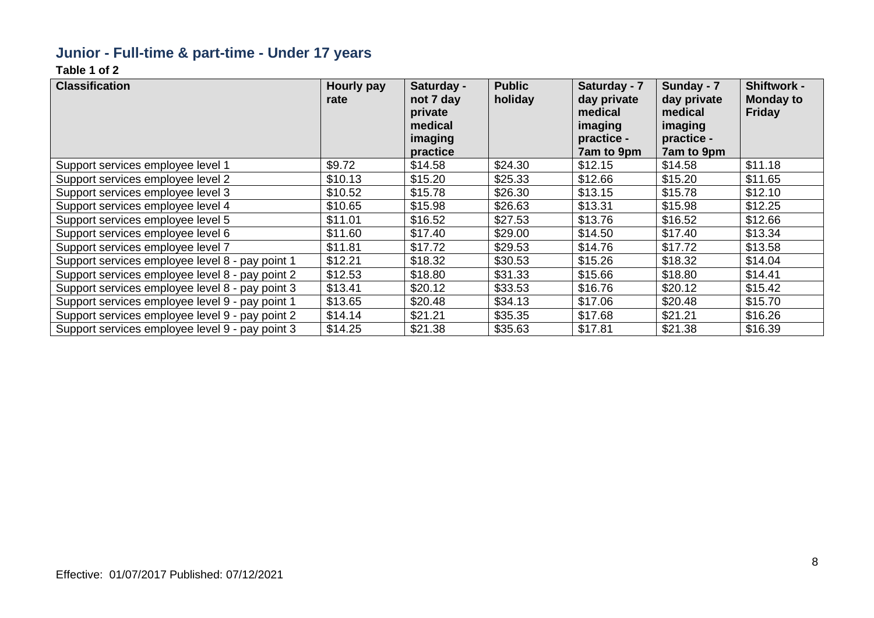### **Junior - Full-time & part-time - Under 17 years**

| <b>Classification</b>                           | Hourly pay<br>rate | Saturday -<br>not 7 day<br>private<br>medical<br>imaging<br>practice | <b>Public</b><br>holiday | Saturday - 7<br>day private<br>medical<br>imaging<br>practice -<br>7am to 9pm | Sunday - 7<br>day private<br>medical<br>imaging<br>practice -<br>7am to 9pm | <b>Shiftwork -</b><br><b>Monday to</b><br><b>Friday</b> |
|-------------------------------------------------|--------------------|----------------------------------------------------------------------|--------------------------|-------------------------------------------------------------------------------|-----------------------------------------------------------------------------|---------------------------------------------------------|
| Support services employee level 1               | \$9.72             | \$14.58                                                              | \$24.30                  | \$12.15                                                                       | \$14.58                                                                     | \$11.18                                                 |
| Support services employee level 2               | \$10.13            | \$15.20                                                              | \$25.33                  | \$12.66                                                                       | \$15.20                                                                     | \$11.65                                                 |
| Support services employee level 3               | \$10.52            | \$15.78                                                              | \$26.30                  | \$13.15                                                                       | \$15.78                                                                     | \$12.10                                                 |
| Support services employee level 4               | \$10.65            | \$15.98                                                              | \$26.63                  | \$13.31                                                                       | \$15.98                                                                     | \$12.25                                                 |
| Support services employee level 5               | \$11.01            | \$16.52                                                              | \$27.53                  | \$13.76                                                                       | \$16.52                                                                     | \$12.66                                                 |
| Support services employee level 6               | \$11.60            | \$17.40                                                              | \$29.00                  | \$14.50                                                                       | \$17.40                                                                     | \$13.34                                                 |
| Support services employee level 7               | \$11.81            | \$17.72                                                              | \$29.53                  | \$14.76                                                                       | \$17.72                                                                     | \$13.58                                                 |
| Support services employee level 8 - pay point 1 | \$12.21            | \$18.32                                                              | \$30.53                  | \$15.26                                                                       | \$18.32                                                                     | \$14.04                                                 |
| Support services employee level 8 - pay point 2 | \$12.53            | \$18.80                                                              | \$31.33                  | \$15.66                                                                       | \$18.80                                                                     | \$14.41                                                 |
| Support services employee level 8 - pay point 3 | \$13.41            | \$20.12                                                              | \$33.53                  | \$16.76                                                                       | \$20.12                                                                     | \$15.42                                                 |
| Support services employee level 9 - pay point 1 | \$13.65            | \$20.48                                                              | \$34.13                  | \$17.06                                                                       | \$20.48                                                                     | \$15.70                                                 |
| Support services employee level 9 - pay point 2 | \$14.14            | \$21.21                                                              | \$35.35                  | \$17.68                                                                       | \$21.21                                                                     | \$16.26                                                 |
| Support services employee level 9 - pay point 3 | \$14.25            | \$21.38                                                              | \$35.63                  | \$17.81                                                                       | \$21.38                                                                     | \$16.39                                                 |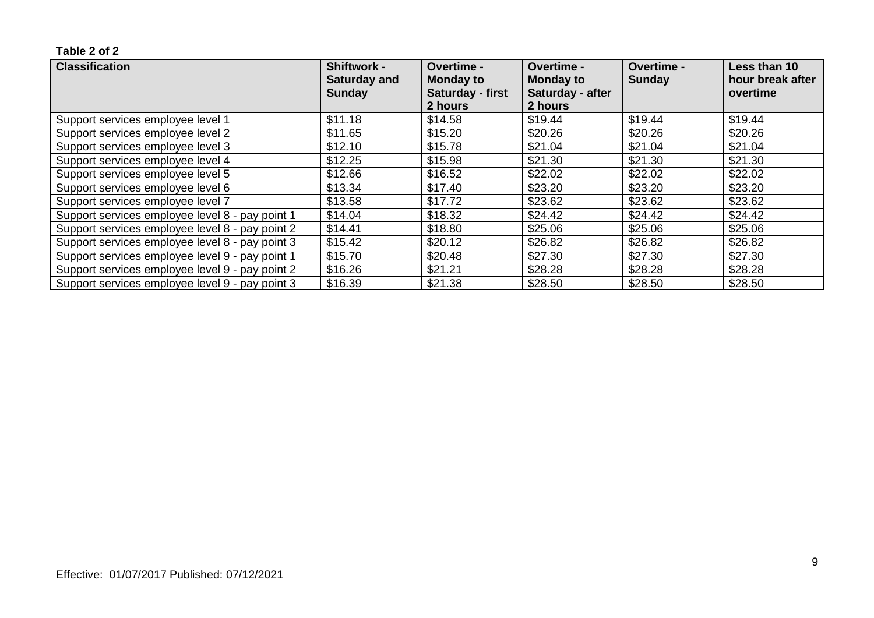| <b>Classification</b>                           | <b>Shiftwork -</b><br><b>Saturday and</b><br><b>Sunday</b> | <b>Overtime -</b><br><b>Monday to</b><br>Saturday - first<br>2 hours | Overtime -<br><b>Monday to</b><br>Saturday - after<br>2 hours | Overtime -<br>Sunday | Less than 10<br>hour break after<br>overtime |
|-------------------------------------------------|------------------------------------------------------------|----------------------------------------------------------------------|---------------------------------------------------------------|----------------------|----------------------------------------------|
| Support services employee level 1               | \$11.18                                                    | \$14.58                                                              | \$19.44                                                       | \$19.44              | \$19.44                                      |
| Support services employee level 2               | \$11.65                                                    | \$15.20                                                              | \$20.26                                                       | \$20.26              | \$20.26                                      |
| Support services employee level 3               | \$12.10                                                    | \$15.78                                                              | \$21.04                                                       | \$21.04              | \$21.04                                      |
| Support services employee level 4               | \$12.25                                                    | \$15.98                                                              | \$21.30                                                       | \$21.30              | \$21.30                                      |
| Support services employee level 5               | \$12.66                                                    | \$16.52                                                              | \$22.02                                                       | \$22.02              | \$22.02                                      |
| Support services employee level 6               | \$13.34                                                    | \$17.40                                                              | \$23.20                                                       | \$23.20              | \$23.20                                      |
| Support services employee level 7               | \$13.58                                                    | \$17.72                                                              | \$23.62                                                       | \$23.62              | \$23.62                                      |
| Support services employee level 8 - pay point 1 | \$14.04                                                    | \$18.32                                                              | \$24.42                                                       | \$24.42              | \$24.42                                      |
| Support services employee level 8 - pay point 2 | \$14.41                                                    | \$18.80                                                              | \$25.06                                                       | \$25.06              | \$25.06                                      |
| Support services employee level 8 - pay point 3 | \$15.42                                                    | \$20.12                                                              | \$26.82                                                       | \$26.82              | \$26.82                                      |
| Support services employee level 9 - pay point 1 | \$15.70                                                    | \$20.48                                                              | \$27.30                                                       | \$27.30              | \$27.30                                      |
| Support services employee level 9 - pay point 2 | \$16.26                                                    | \$21.21                                                              | \$28.28                                                       | \$28.28              | \$28.28                                      |
| Support services employee level 9 - pay point 3 | \$16.39                                                    | \$21.38                                                              | \$28.50                                                       | \$28.50              | \$28.50                                      |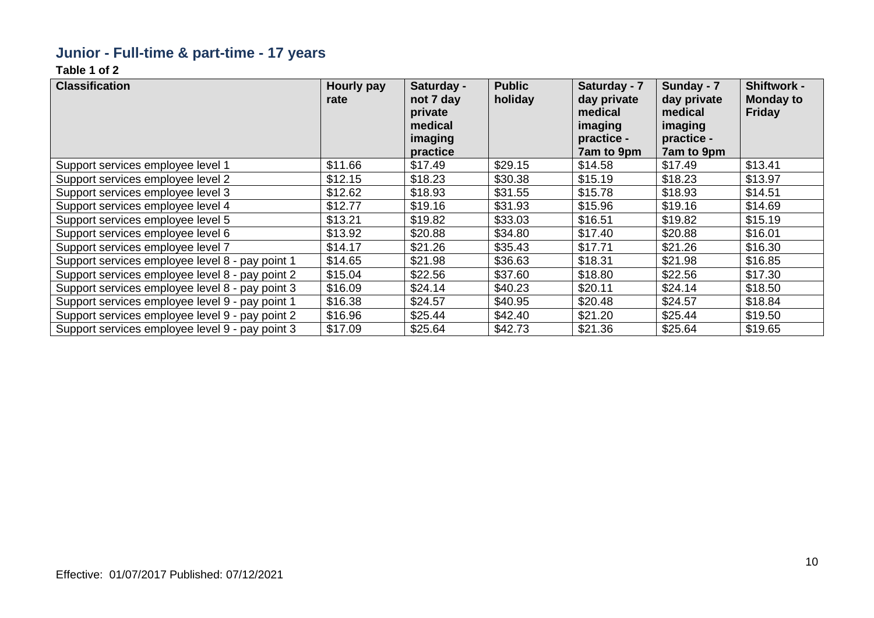### **Junior - Full-time & part-time - 17 years**

| <b>Classification</b>                           | <b>Hourly pay</b><br>rate | Saturday -<br>not 7 day<br>private<br>medical<br>imaging<br>practice | <b>Public</b><br>holiday | Saturday - 7<br>day private<br>medical<br>imaging<br>practice -<br>7am to 9pm | Sunday - 7<br>day private<br>medical<br>imaging<br>practice -<br>7am to 9pm | <b>Shiftwork -</b><br><b>Monday to</b><br><b>Friday</b> |
|-------------------------------------------------|---------------------------|----------------------------------------------------------------------|--------------------------|-------------------------------------------------------------------------------|-----------------------------------------------------------------------------|---------------------------------------------------------|
| Support services employee level 1               | \$11.66                   | \$17.49                                                              | \$29.15                  | \$14.58                                                                       | \$17.49                                                                     | \$13.41                                                 |
| Support services employee level 2               | \$12.15                   | \$18.23                                                              | \$30.38                  | \$15.19                                                                       | \$18.23                                                                     | \$13.97                                                 |
| Support services employee level 3               | \$12.62                   | \$18.93                                                              | \$31.55                  | \$15.78                                                                       | \$18.93                                                                     | \$14.51                                                 |
| Support services employee level 4               | \$12.77                   | \$19.16                                                              | \$31.93                  | \$15.96                                                                       | \$19.16                                                                     | \$14.69                                                 |
| Support services employee level 5               | \$13.21                   | \$19.82                                                              | \$33.03                  | \$16.51                                                                       | \$19.82                                                                     | \$15.19                                                 |
| Support services employee level 6               | \$13.92                   | \$20.88                                                              | \$34.80                  | \$17.40                                                                       | \$20.88                                                                     | \$16.01                                                 |
| Support services employee level 7               | \$14.17                   | \$21.26                                                              | \$35.43                  | \$17.71                                                                       | \$21.26                                                                     | \$16.30                                                 |
| Support services employee level 8 - pay point 1 | \$14.65                   | \$21.98                                                              | \$36.63                  | \$18.31                                                                       | \$21.98                                                                     | \$16.85                                                 |
| Support services employee level 8 - pay point 2 | \$15.04                   | \$22.56                                                              | \$37.60                  | \$18.80                                                                       | \$22.56                                                                     | \$17.30                                                 |
| Support services employee level 8 - pay point 3 | \$16.09                   | \$24.14                                                              | \$40.23                  | \$20.11                                                                       | \$24.14                                                                     | \$18.50                                                 |
| Support services employee level 9 - pay point 1 | \$16.38                   | \$24.57                                                              | \$40.95                  | \$20.48                                                                       | \$24.57                                                                     | \$18.84                                                 |
| Support services employee level 9 - pay point 2 | \$16.96                   | \$25.44                                                              | \$42.40                  | \$21.20                                                                       | \$25.44                                                                     | \$19.50                                                 |
| Support services employee level 9 - pay point 3 | \$17.09                   | \$25.64                                                              | \$42.73                  | \$21.36                                                                       | \$25.64                                                                     | \$19.65                                                 |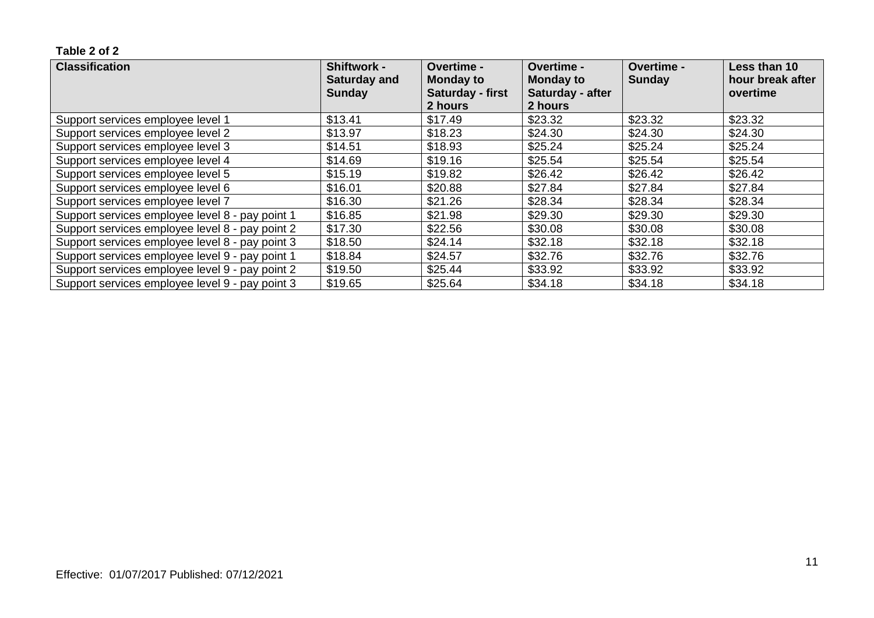| <b>Classification</b>                           | <b>Shiftwork -</b><br><b>Saturday and</b><br><b>Sunday</b> | <b>Overtime -</b><br><b>Monday to</b><br>Saturday - first<br>2 hours | <b>Overtime -</b><br><b>Monday to</b><br>Saturday - after<br>2 hours | <b>Overtime -</b><br><b>Sunday</b> | Less than 10<br>hour break after<br>overtime |
|-------------------------------------------------|------------------------------------------------------------|----------------------------------------------------------------------|----------------------------------------------------------------------|------------------------------------|----------------------------------------------|
| Support services employee level 1               | \$13.41                                                    | \$17.49                                                              | \$23.32                                                              | \$23.32                            | \$23.32                                      |
| Support services employee level 2               | \$13.97                                                    | \$18.23                                                              | \$24.30                                                              | \$24.30                            | \$24.30                                      |
| Support services employee level 3               | \$14.51                                                    | \$18.93                                                              | \$25.24                                                              | \$25.24                            | \$25.24                                      |
| Support services employee level 4               | \$14.69                                                    | \$19.16                                                              | \$25.54                                                              | \$25.54                            | \$25.54                                      |
| Support services employee level 5               | \$15.19                                                    | \$19.82                                                              | \$26.42                                                              | \$26.42                            | \$26.42                                      |
| Support services employee level 6               | \$16.01                                                    | \$20.88                                                              | \$27.84                                                              | \$27.84                            | \$27.84                                      |
| Support services employee level 7               | \$16.30                                                    | \$21.26                                                              | \$28.34                                                              | \$28.34                            | \$28.34                                      |
| Support services employee level 8 - pay point 1 | \$16.85                                                    | \$21.98                                                              | \$29.30                                                              | \$29.30                            | \$29.30                                      |
| Support services employee level 8 - pay point 2 | \$17.30                                                    | \$22.56                                                              | \$30.08                                                              | \$30.08                            | \$30.08                                      |
| Support services employee level 8 - pay point 3 | \$18.50                                                    | \$24.14                                                              | \$32.18                                                              | \$32.18                            | \$32.18                                      |
| Support services employee level 9 - pay point 1 | \$18.84                                                    | \$24.57                                                              | \$32.76                                                              | \$32.76                            | \$32.76                                      |
| Support services employee level 9 - pay point 2 | \$19.50                                                    | \$25.44                                                              | \$33.92                                                              | \$33.92                            | \$33.92                                      |
| Support services employee level 9 - pay point 3 | \$19.65                                                    | \$25.64                                                              | \$34.18                                                              | \$34.18                            | \$34.18                                      |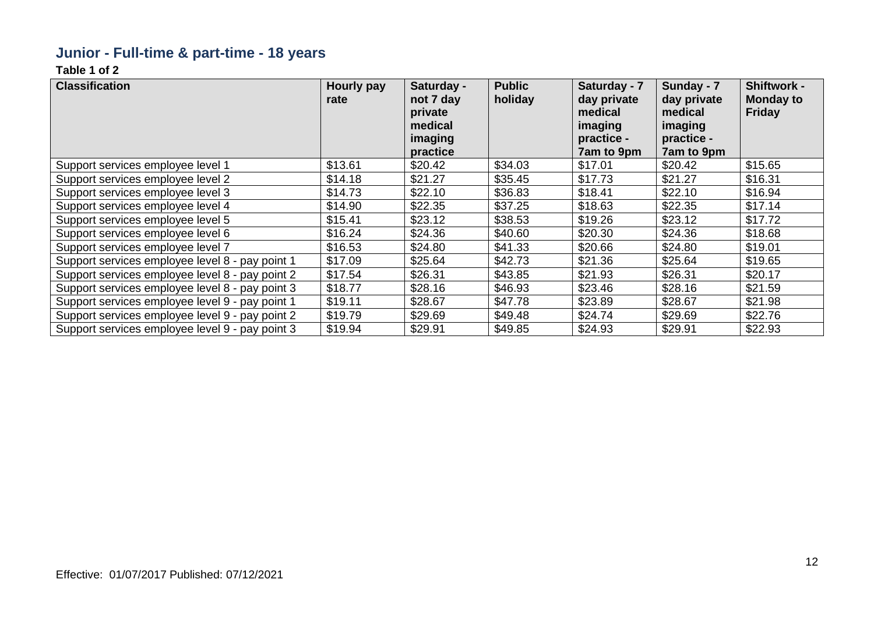### **Junior - Full-time & part-time - 18 years**

| <b>Classification</b>                           | Hourly pay<br>rate | Saturday -<br>not 7 day<br>private<br>medical<br>imaging<br>practice | <b>Public</b><br>holiday | Saturday - 7<br>day private<br>medical<br>imaging<br>practice -<br>7am to 9pm | Sunday - 7<br>day private<br>medical<br>imaging<br>practice -<br>7am to 9pm | <b>Shiftwork -</b><br><b>Monday to</b><br>Friday |
|-------------------------------------------------|--------------------|----------------------------------------------------------------------|--------------------------|-------------------------------------------------------------------------------|-----------------------------------------------------------------------------|--------------------------------------------------|
| Support services employee level 1               | \$13.61            | \$20.42                                                              | \$34.03                  | \$17.01                                                                       | \$20.42                                                                     | \$15.65                                          |
| Support services employee level 2               | \$14.18            | \$21.27                                                              | \$35.45                  | \$17.73                                                                       | \$21.27                                                                     | \$16.31                                          |
| Support services employee level 3               | \$14.73            | \$22.10                                                              | \$36.83                  | \$18.41                                                                       | \$22.10                                                                     | \$16.94                                          |
| Support services employee level 4               | \$14.90            | \$22.35                                                              | \$37.25                  | \$18.63                                                                       | \$22.35                                                                     | \$17.14                                          |
| Support services employee level 5               | \$15.41            | \$23.12                                                              | \$38.53                  | \$19.26                                                                       | \$23.12                                                                     | \$17.72                                          |
| Support services employee level 6               | \$16.24            | \$24.36                                                              | \$40.60                  | \$20.30                                                                       | \$24.36                                                                     | \$18.68                                          |
| Support services employee level 7               | \$16.53            | \$24.80                                                              | \$41.33                  | \$20.66                                                                       | \$24.80                                                                     | \$19.01                                          |
| Support services employee level 8 - pay point 1 | \$17.09            | \$25.64                                                              | \$42.73                  | \$21.36                                                                       | \$25.64                                                                     | \$19.65                                          |
| Support services employee level 8 - pay point 2 | \$17.54            | \$26.31                                                              | \$43.85                  | \$21.93                                                                       | \$26.31                                                                     | \$20.17                                          |
| Support services employee level 8 - pay point 3 | \$18.77            | \$28.16                                                              | \$46.93                  | \$23.46                                                                       | \$28.16                                                                     | \$21.59                                          |
| Support services employee level 9 - pay point 1 | \$19.11            | \$28.67                                                              | \$47.78                  | \$23.89                                                                       | \$28.67                                                                     | \$21.98                                          |
| Support services employee level 9 - pay point 2 | \$19.79            | \$29.69                                                              | \$49.48                  | \$24.74                                                                       | \$29.69                                                                     | \$22.76                                          |
| Support services employee level 9 - pay point 3 | \$19.94            | \$29.91                                                              | \$49.85                  | \$24.93                                                                       | \$29.91                                                                     | \$22.93                                          |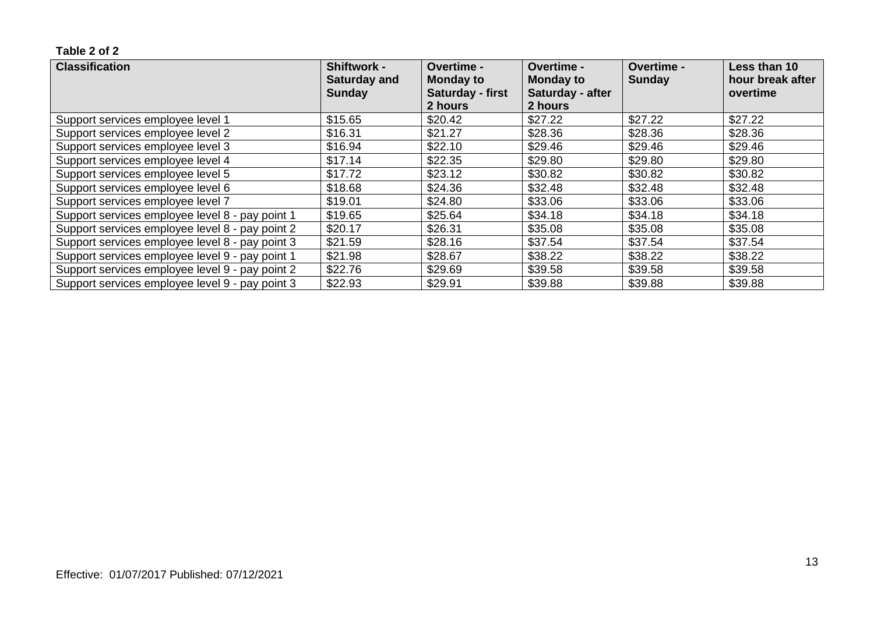| <b>Classification</b>                           | <b>Shiftwork -</b><br><b>Saturday and</b><br><b>Sunday</b> | <b>Overtime -</b><br><b>Monday to</b><br>Saturday - first | <b>Overtime -</b><br><b>Monday to</b><br>Saturday - after | <b>Overtime -</b><br>Sunday | Less than 10<br>hour break after<br>overtime |
|-------------------------------------------------|------------------------------------------------------------|-----------------------------------------------------------|-----------------------------------------------------------|-----------------------------|----------------------------------------------|
|                                                 |                                                            | 2 hours                                                   | 2 hours                                                   |                             |                                              |
| Support services employee level 1               | \$15.65                                                    | \$20.42                                                   | \$27.22                                                   | \$27.22                     | \$27.22                                      |
| Support services employee level 2               | \$16.31                                                    | \$21.27                                                   | \$28.36                                                   | \$28.36                     | \$28.36                                      |
| Support services employee level 3               | \$16.94                                                    | \$22.10                                                   | \$29.46                                                   | \$29.46                     | \$29.46                                      |
| Support services employee level 4               | \$17.14                                                    | \$22.35                                                   | \$29.80                                                   | \$29.80                     | \$29.80                                      |
| Support services employee level 5               | \$17.72                                                    | \$23.12                                                   | \$30.82                                                   | \$30.82                     | \$30.82                                      |
| Support services employee level 6               | \$18.68                                                    | \$24.36                                                   | \$32.48                                                   | \$32.48                     | \$32.48                                      |
| Support services employee level 7               | \$19.01                                                    | \$24.80                                                   | \$33.06                                                   | \$33.06                     | \$33.06                                      |
| Support services employee level 8 - pay point 1 | \$19.65                                                    | \$25.64                                                   | \$34.18                                                   | \$34.18                     | \$34.18                                      |
| Support services employee level 8 - pay point 2 | \$20.17                                                    | \$26.31                                                   | \$35.08                                                   | \$35.08                     | \$35.08                                      |
| Support services employee level 8 - pay point 3 | \$21.59                                                    | \$28.16                                                   | \$37.54                                                   | \$37.54                     | \$37.54                                      |
| Support services employee level 9 - pay point 1 | \$21.98                                                    | \$28.67                                                   | \$38.22                                                   | \$38.22                     | \$38.22                                      |
| Support services employee level 9 - pay point 2 | \$22.76                                                    | \$29.69                                                   | \$39.58                                                   | \$39.58                     | \$39.58                                      |
| Support services employee level 9 - pay point 3 | \$22.93                                                    | \$29.91                                                   | \$39.88                                                   | \$39.88                     | \$39.88                                      |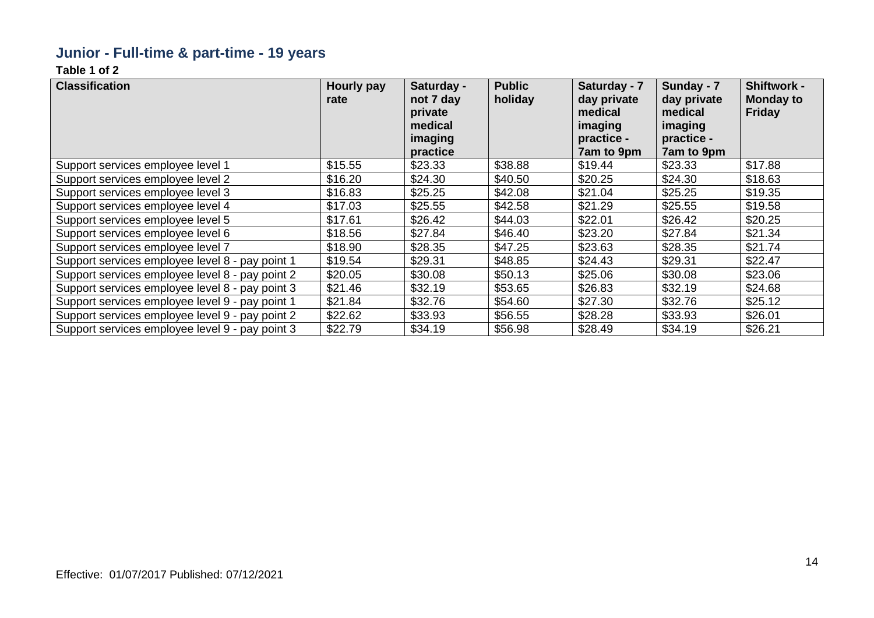### **Junior - Full-time & part-time - 19 years**

| <b>Classification</b>                           | Hourly pay<br>rate | Saturday -<br>not 7 day<br>private<br>medical<br>imaging<br>practice | <b>Public</b><br>holiday | Saturday - 7<br>day private<br>medical<br>imaging<br>practice -<br>7am to 9pm | Sunday - 7<br>day private<br>medical<br>imaging<br>practice -<br>7am to 9pm | <b>Shiftwork -</b><br><b>Monday to</b><br>Friday |
|-------------------------------------------------|--------------------|----------------------------------------------------------------------|--------------------------|-------------------------------------------------------------------------------|-----------------------------------------------------------------------------|--------------------------------------------------|
| Support services employee level 1               | \$15.55            | \$23.33                                                              | \$38.88                  | \$19.44                                                                       | \$23.33                                                                     | \$17.88                                          |
| Support services employee level 2               | \$16.20            | \$24.30                                                              | \$40.50                  | \$20.25                                                                       | \$24.30                                                                     | \$18.63                                          |
| Support services employee level 3               | \$16.83            | \$25.25                                                              | \$42.08                  | \$21.04                                                                       | \$25.25                                                                     | \$19.35                                          |
| Support services employee level 4               | \$17.03            | \$25.55                                                              | \$42.58                  | \$21.29                                                                       | \$25.55                                                                     | \$19.58                                          |
| Support services employee level 5               | \$17.61            | \$26.42                                                              | \$44.03                  | \$22.01                                                                       | \$26.42                                                                     | \$20.25                                          |
| Support services employee level 6               | \$18.56            | \$27.84                                                              | \$46.40                  | \$23.20                                                                       | \$27.84                                                                     | \$21.34                                          |
| Support services employee level 7               | \$18.90            | \$28.35                                                              | \$47.25                  | \$23.63                                                                       | \$28.35                                                                     | \$21.74                                          |
| Support services employee level 8 - pay point 1 | \$19.54            | \$29.31                                                              | \$48.85                  | \$24.43                                                                       | \$29.31                                                                     | \$22.47                                          |
| Support services employee level 8 - pay point 2 | \$20.05            | \$30.08                                                              | \$50.13                  | \$25.06                                                                       | \$30.08                                                                     | \$23.06                                          |
| Support services employee level 8 - pay point 3 | \$21.46            | \$32.19                                                              | \$53.65                  | \$26.83                                                                       | \$32.19                                                                     | \$24.68                                          |
| Support services employee level 9 - pay point 1 | \$21.84            | \$32.76                                                              | \$54.60                  | \$27.30                                                                       | \$32.76                                                                     | \$25.12                                          |
| Support services employee level 9 - pay point 2 | \$22.62            | \$33.93                                                              | \$56.55                  | \$28.28                                                                       | \$33.93                                                                     | \$26.01                                          |
| Support services employee level 9 - pay point 3 | \$22.79            | \$34.19                                                              | \$56.98                  | \$28.49                                                                       | \$34.19                                                                     | \$26.21                                          |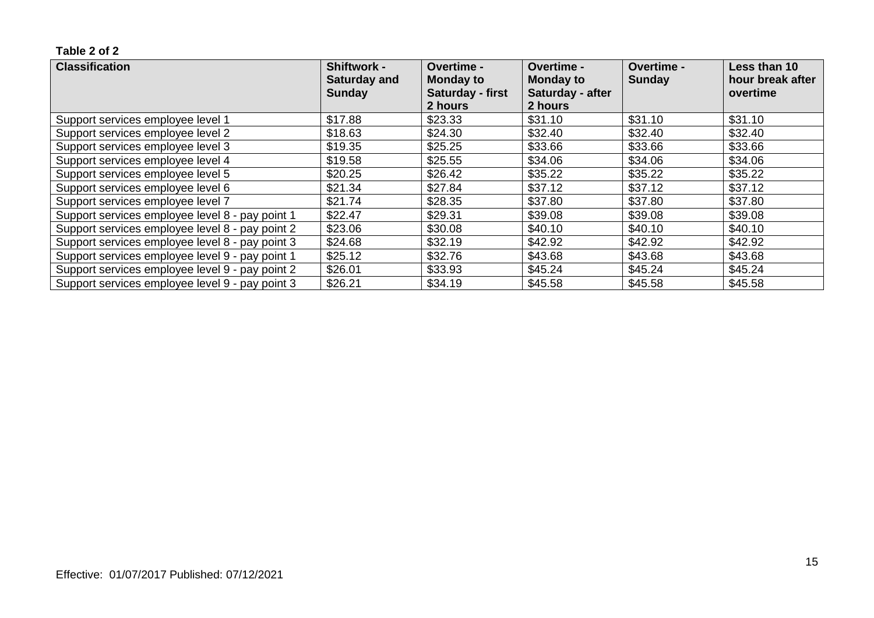| <b>Classification</b>                           | <b>Shiftwork -</b><br><b>Saturday and</b> | <b>Overtime -</b><br><b>Monday to</b> | <b>Overtime -</b><br><b>Monday to</b> | <b>Overtime -</b><br>Sunday | Less than 10<br>hour break after |
|-------------------------------------------------|-------------------------------------------|---------------------------------------|---------------------------------------|-----------------------------|----------------------------------|
|                                                 | <b>Sunday</b>                             | Saturday - first<br>2 hours           | Saturday - after<br>2 hours           |                             | overtime                         |
| Support services employee level 1               | \$17.88                                   | \$23.33                               | \$31.10                               | \$31.10                     | \$31.10                          |
| Support services employee level 2               | \$18.63                                   | \$24.30                               | \$32.40                               | \$32.40                     | \$32.40                          |
| Support services employee level 3               | \$19.35                                   | \$25.25                               | \$33.66                               | \$33.66                     | \$33.66                          |
| Support services employee level 4               | \$19.58                                   | \$25.55                               | \$34.06                               | \$34.06                     | \$34.06                          |
| Support services employee level 5               | \$20.25                                   | \$26.42                               | \$35.22                               | \$35.22                     | \$35.22                          |
| Support services employee level 6               | \$21.34                                   | \$27.84                               | \$37.12                               | \$37.12                     | \$37.12                          |
| Support services employee level 7               | \$21.74                                   | \$28.35                               | \$37.80                               | \$37.80                     | \$37.80                          |
| Support services employee level 8 - pay point 1 | \$22.47                                   | \$29.31                               | \$39.08                               | \$39.08                     | \$39.08                          |
| Support services employee level 8 - pay point 2 | \$23.06                                   | \$30.08                               | \$40.10                               | \$40.10                     | \$40.10                          |
| Support services employee level 8 - pay point 3 | \$24.68                                   | \$32.19                               | \$42.92                               | \$42.92                     | \$42.92                          |
| Support services employee level 9 - pay point 1 | \$25.12                                   | \$32.76                               | \$43.68                               | \$43.68                     | \$43.68                          |
| Support services employee level 9 - pay point 2 | \$26.01                                   | \$33.93                               | \$45.24                               | \$45.24                     | \$45.24                          |
| Support services employee level 9 - pay point 3 | \$26.21                                   | \$34.19                               | \$45.58                               | \$45.58                     | \$45.58                          |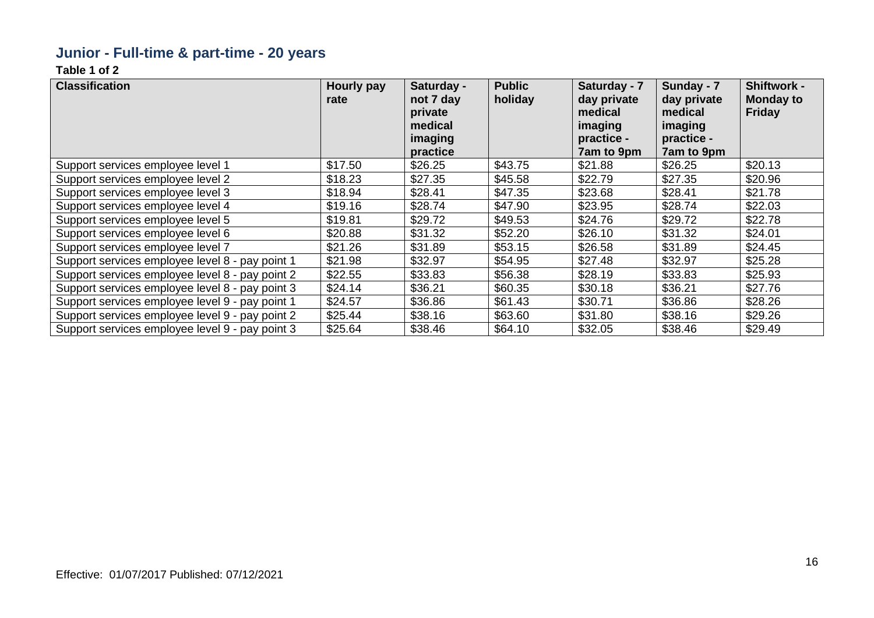### **Junior - Full-time & part-time - 20 years**

| <b>Classification</b>                           | Hourly pay<br>rate | Saturday -<br>not 7 day<br>private<br>medical<br>imaging<br>practice | <b>Public</b><br>holiday | Saturday - 7<br>day private<br>medical<br>imaging<br>practice -<br>7am to 9pm | Sunday - 7<br>day private<br>medical<br>imaging<br>practice -<br>7am to 9pm | <b>Shiftwork -</b><br><b>Monday to</b><br><b>Friday</b> |
|-------------------------------------------------|--------------------|----------------------------------------------------------------------|--------------------------|-------------------------------------------------------------------------------|-----------------------------------------------------------------------------|---------------------------------------------------------|
| Support services employee level 1               | \$17.50            | \$26.25                                                              | \$43.75                  | \$21.88                                                                       | \$26.25                                                                     | \$20.13                                                 |
| Support services employee level 2               | \$18.23            | \$27.35                                                              | \$45.58                  | \$22.79                                                                       | \$27.35                                                                     | \$20.96                                                 |
| Support services employee level 3               | \$18.94            | \$28.41                                                              | \$47.35                  | \$23.68                                                                       | \$28.41                                                                     | \$21.78                                                 |
| Support services employee level 4               | \$19.16            | \$28.74                                                              | \$47.90                  | \$23.95                                                                       | \$28.74                                                                     | \$22.03                                                 |
| Support services employee level 5               | \$19.81            | \$29.72                                                              | \$49.53                  | \$24.76                                                                       | \$29.72                                                                     | \$22.78                                                 |
| Support services employee level 6               | \$20.88            | \$31.32                                                              | \$52.20                  | \$26.10                                                                       | \$31.32                                                                     | \$24.01                                                 |
| Support services employee level 7               | \$21.26            | \$31.89                                                              | \$53.15                  | \$26.58                                                                       | \$31.89                                                                     | \$24.45                                                 |
| Support services employee level 8 - pay point 1 | \$21.98            | \$32.97                                                              | \$54.95                  | \$27.48                                                                       | \$32.97                                                                     | \$25.28                                                 |
| Support services employee level 8 - pay point 2 | \$22.55            | \$33.83                                                              | \$56.38                  | \$28.19                                                                       | \$33.83                                                                     | \$25.93                                                 |
| Support services employee level 8 - pay point 3 | \$24.14            | \$36.21                                                              | \$60.35                  | \$30.18                                                                       | \$36.21                                                                     | \$27.76                                                 |
| Support services employee level 9 - pay point 1 | \$24.57            | \$36.86                                                              | \$61.43                  | \$30.71                                                                       | \$36.86                                                                     | \$28.26                                                 |
| Support services employee level 9 - pay point 2 | \$25.44            | \$38.16                                                              | \$63.60                  | \$31.80                                                                       | \$38.16                                                                     | \$29.26                                                 |
| Support services employee level 9 - pay point 3 | \$25.64            | \$38.46                                                              | \$64.10                  | \$32.05                                                                       | \$38.46                                                                     | \$29.49                                                 |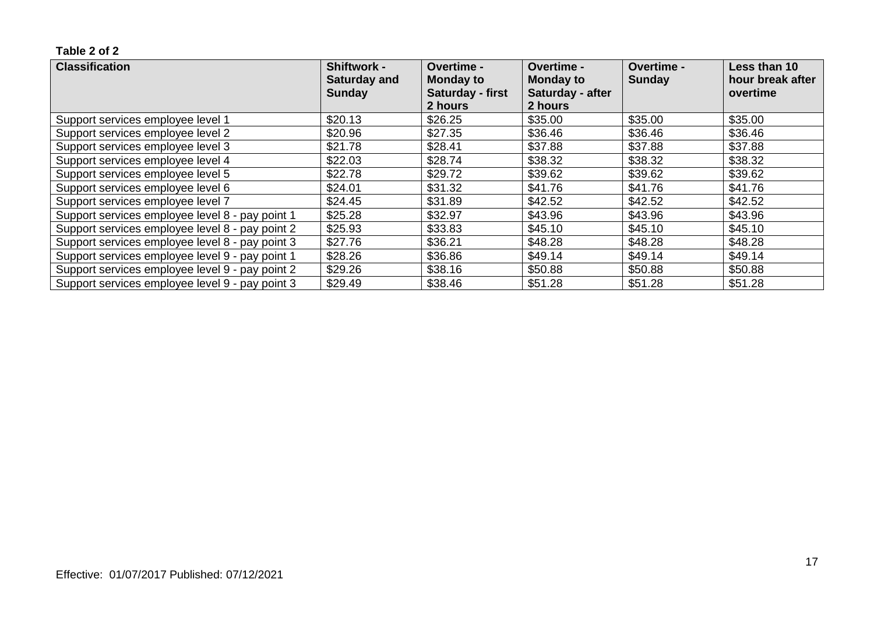| <b>Classification</b>                           | <b>Shiftwork -</b><br><b>Saturday and</b><br><b>Sunday</b> | <b>Overtime -</b><br><b>Monday to</b><br>Saturday - first<br>2 hours | <b>Overtime -</b><br><b>Monday to</b><br>Saturday - after<br>2 hours | <b>Overtime -</b><br>Sunday | Less than 10<br>hour break after<br>overtime |
|-------------------------------------------------|------------------------------------------------------------|----------------------------------------------------------------------|----------------------------------------------------------------------|-----------------------------|----------------------------------------------|
| Support services employee level 1               | \$20.13                                                    | \$26.25                                                              | \$35.00                                                              | \$35.00                     | \$35.00                                      |
| Support services employee level 2               | \$20.96                                                    | \$27.35                                                              | \$36.46                                                              | \$36.46                     | \$36.46                                      |
| Support services employee level 3               | \$21.78                                                    | \$28.41                                                              | \$37.88                                                              | \$37.88                     | \$37.88                                      |
| Support services employee level 4               | \$22.03                                                    | \$28.74                                                              | \$38.32                                                              | \$38.32                     | \$38.32                                      |
| Support services employee level 5               | \$22.78                                                    | \$29.72                                                              | \$39.62                                                              | \$39.62                     | \$39.62                                      |
| Support services employee level 6               | \$24.01                                                    | \$31.32                                                              | \$41.76                                                              | \$41.76                     | \$41.76                                      |
| Support services employee level 7               | \$24.45                                                    | \$31.89                                                              | \$42.52                                                              | \$42.52                     | \$42.52                                      |
| Support services employee level 8 - pay point 1 | \$25.28                                                    | \$32.97                                                              | \$43.96                                                              | \$43.96                     | \$43.96                                      |
| Support services employee level 8 - pay point 2 | \$25.93                                                    | \$33.83                                                              | \$45.10                                                              | \$45.10                     | \$45.10                                      |
| Support services employee level 8 - pay point 3 | \$27.76                                                    | \$36.21                                                              | \$48.28                                                              | \$48.28                     | \$48.28                                      |
| Support services employee level 9 - pay point 1 | \$28.26                                                    | \$36.86                                                              | \$49.14                                                              | \$49.14                     | \$49.14                                      |
| Support services employee level 9 - pay point 2 | \$29.26                                                    | \$38.16                                                              | \$50.88                                                              | \$50.88                     | \$50.88                                      |
| Support services employee level 9 - pay point 3 | \$29.49                                                    | \$38.46                                                              | \$51.28                                                              | \$51.28                     | \$51.28                                      |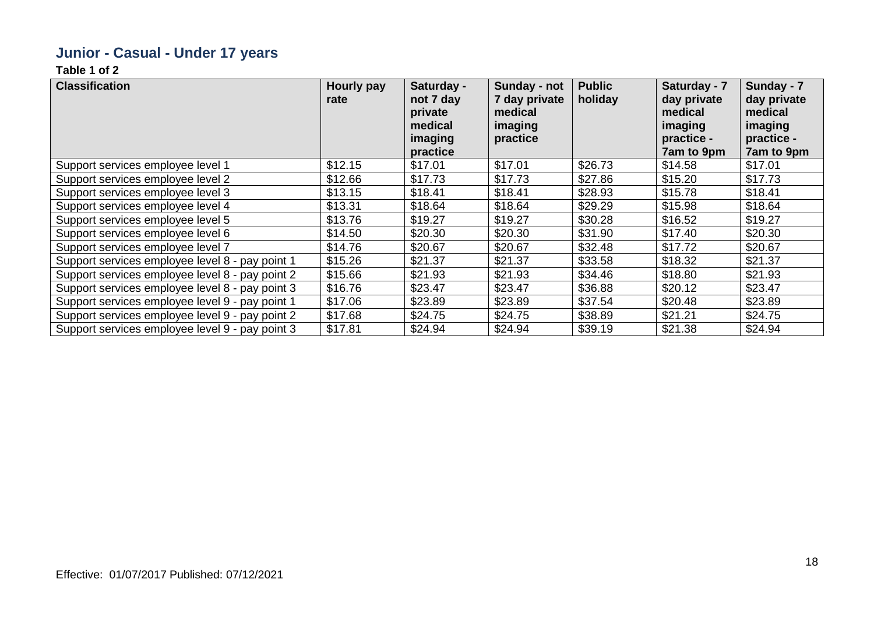### **Junior - Casual - Under 17 years**

| <b>Classification</b>                           | Hourly pay<br>rate | Saturday -<br>not 7 day<br>private<br>medical<br>imaging<br>practice | Sunday - not<br>7 day private<br>medical<br>imaging<br>practice | <b>Public</b><br>holiday | Saturday - 7<br>day private<br>medical<br>imaging<br>practice -<br>7am to 9pm | Sunday - 7<br>day private<br>medical<br>imaging<br>practice -<br>7am to 9pm |
|-------------------------------------------------|--------------------|----------------------------------------------------------------------|-----------------------------------------------------------------|--------------------------|-------------------------------------------------------------------------------|-----------------------------------------------------------------------------|
| Support services employee level 1               | \$12.15            | \$17.01                                                              | \$17.01                                                         | \$26.73                  | \$14.58                                                                       | \$17.01                                                                     |
| Support services employee level 2               | \$12.66            | \$17.73                                                              | \$17.73                                                         | \$27.86                  | \$15.20                                                                       | \$17.73                                                                     |
| Support services employee level 3               | \$13.15            | \$18.41                                                              | \$18.41                                                         | \$28.93                  | \$15.78                                                                       | \$18.41                                                                     |
| Support services employee level 4               | \$13.31            | \$18.64                                                              | \$18.64                                                         | \$29.29                  | \$15.98                                                                       | \$18.64                                                                     |
| Support services employee level 5               | \$13.76            | \$19.27                                                              | \$19.27                                                         | \$30.28                  | \$16.52                                                                       | \$19.27                                                                     |
| Support services employee level 6               | \$14.50            | \$20.30                                                              | \$20.30                                                         | \$31.90                  | \$17.40                                                                       | \$20.30                                                                     |
| Support services employee level 7               | \$14.76            | \$20.67                                                              | \$20.67                                                         | \$32.48                  | \$17.72                                                                       | \$20.67                                                                     |
| Support services employee level 8 - pay point 1 | \$15.26            | \$21.37                                                              | \$21.37                                                         | \$33.58                  | \$18.32                                                                       | \$21.37                                                                     |
| Support services employee level 8 - pay point 2 | \$15.66            | \$21.93                                                              | \$21.93                                                         | \$34.46                  | \$18.80                                                                       | \$21.93                                                                     |
| Support services employee level 8 - pay point 3 | \$16.76            | \$23.47                                                              | \$23.47                                                         | \$36.88                  | \$20.12                                                                       | \$23.47                                                                     |
| Support services employee level 9 - pay point 1 | \$17.06            | \$23.89                                                              | \$23.89                                                         | \$37.54                  | \$20.48                                                                       | \$23.89                                                                     |
| Support services employee level 9 - pay point 2 | \$17.68            | \$24.75                                                              | \$24.75                                                         | \$38.89                  | \$21.21                                                                       | \$24.75                                                                     |
| Support services employee level 9 - pay point 3 | \$17.81            | \$24.94                                                              | \$24.94                                                         | \$39.19                  | \$21.38                                                                       | \$24.94                                                                     |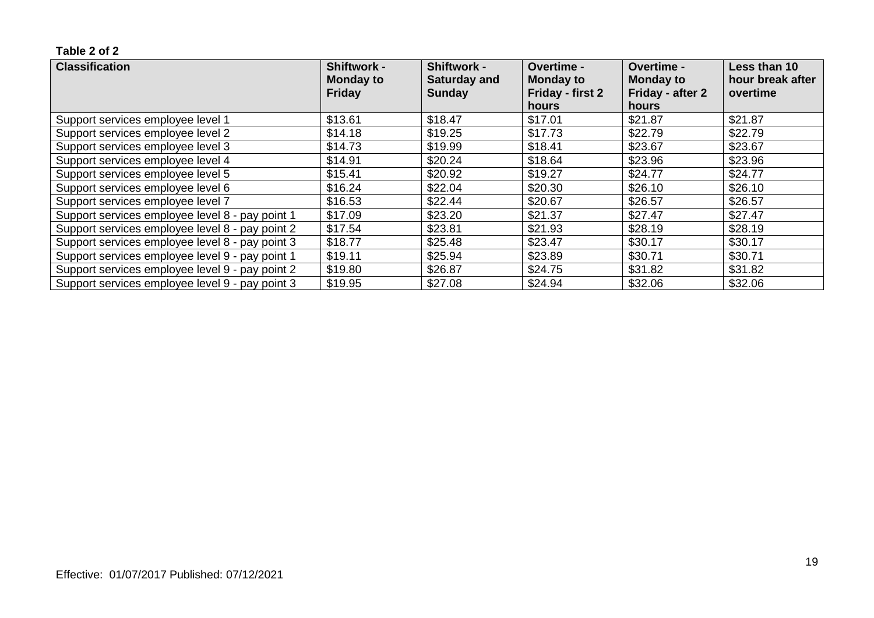| <b>Classification</b>                           | <b>Shiftwork -</b><br>Monday to<br><b>Friday</b> | <b>Shiftwork -</b><br><b>Saturday and</b><br><b>Sunday</b> | <b>Overtime -</b><br><b>Monday to</b><br>Friday - first 2 | <b>Overtime -</b><br><b>Monday to</b><br>Friday - after 2 | Less than 10<br>hour break after<br>overtime |
|-------------------------------------------------|--------------------------------------------------|------------------------------------------------------------|-----------------------------------------------------------|-----------------------------------------------------------|----------------------------------------------|
|                                                 |                                                  |                                                            | hours                                                     | hours                                                     |                                              |
| Support services employee level 1               | \$13.61                                          | \$18.47                                                    | \$17.01                                                   | \$21.87                                                   | \$21.87                                      |
| Support services employee level 2               | \$14.18                                          | \$19.25                                                    | \$17.73                                                   | \$22.79                                                   | \$22.79                                      |
| Support services employee level 3               | \$14.73                                          | \$19.99                                                    | \$18.41                                                   | \$23.67                                                   | \$23.67                                      |
| Support services employee level 4               | \$14.91                                          | \$20.24                                                    | \$18.64                                                   | \$23.96                                                   | \$23.96                                      |
| Support services employee level 5               | \$15.41                                          | \$20.92                                                    | \$19.27                                                   | \$24.77                                                   | \$24.77                                      |
| Support services employee level 6               | \$16.24                                          | \$22.04                                                    | \$20.30                                                   | \$26.10                                                   | \$26.10                                      |
| Support services employee level 7               | \$16.53                                          | \$22.44                                                    | \$20.67                                                   | \$26.57                                                   | \$26.57                                      |
| Support services employee level 8 - pay point 1 | \$17.09                                          | \$23.20                                                    | \$21.37                                                   | \$27.47                                                   | \$27.47                                      |
| Support services employee level 8 - pay point 2 | \$17.54                                          | \$23.81                                                    | \$21.93                                                   | \$28.19                                                   | \$28.19                                      |
| Support services employee level 8 - pay point 3 | \$18.77                                          | \$25.48                                                    | \$23.47                                                   | \$30.17                                                   | \$30.17                                      |
| Support services employee level 9 - pay point 1 | \$19.11                                          | \$25.94                                                    | \$23.89                                                   | \$30.71                                                   | \$30.71                                      |
| Support services employee level 9 - pay point 2 | \$19.80                                          | \$26.87                                                    | \$24.75                                                   | \$31.82                                                   | \$31.82                                      |
| Support services employee level 9 - pay point 3 | \$19.95                                          | \$27.08                                                    | \$24.94                                                   | \$32.06                                                   | \$32.06                                      |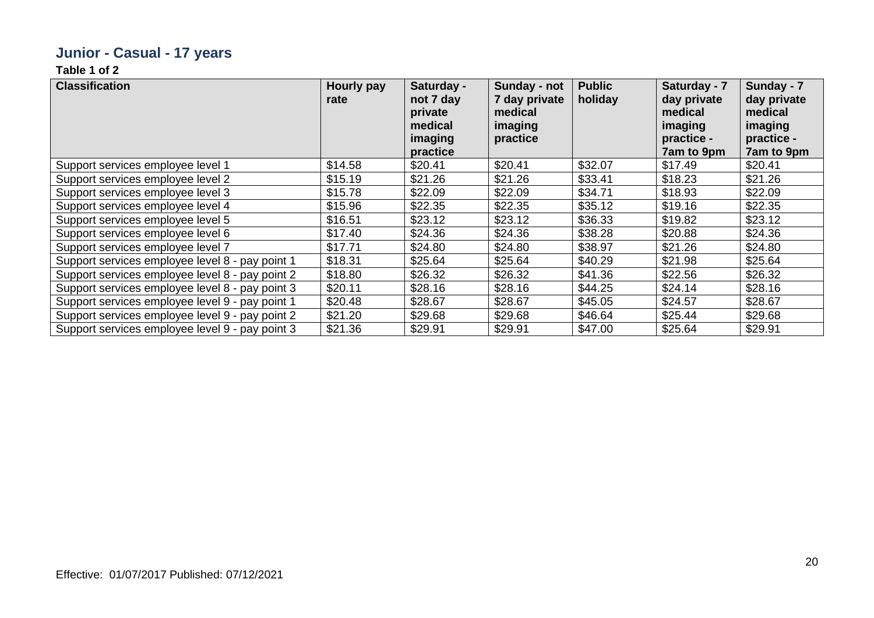### **Junior - Casual - 17 years**

| <b>Classification</b>                           | Hourly pay<br>rate | Saturday -<br>not 7 day<br>private<br>medical<br>imaging<br>practice | Sunday - not<br>7 day private<br>medical<br>imaging<br>practice | <b>Public</b><br>holiday | Saturday - 7<br>day private<br>medical<br>imaging<br>practice -<br>7am to 9pm | Sunday - 7<br>day private<br>medical<br>imaging<br>practice -<br>7am to 9pm |
|-------------------------------------------------|--------------------|----------------------------------------------------------------------|-----------------------------------------------------------------|--------------------------|-------------------------------------------------------------------------------|-----------------------------------------------------------------------------|
| Support services employee level 1               | \$14.58            | \$20.41                                                              | \$20.41                                                         | \$32.07                  | \$17.49                                                                       | \$20.41                                                                     |
| Support services employee level 2               | \$15.19            | \$21.26                                                              | \$21.26                                                         | \$33.41                  | \$18.23                                                                       | \$21.26                                                                     |
| Support services employee level 3               | \$15.78            | \$22.09                                                              | \$22.09                                                         | \$34.71                  | \$18.93                                                                       | \$22.09                                                                     |
| Support services employee level 4               | \$15.96            | \$22.35                                                              | \$22.35                                                         | \$35.12                  | \$19.16                                                                       | \$22.35                                                                     |
| Support services employee level 5               | \$16.51            | \$23.12                                                              | \$23.12                                                         | \$36.33                  | \$19.82                                                                       | \$23.12                                                                     |
| Support services employee level 6               | \$17.40            | \$24.36                                                              | \$24.36                                                         | \$38.28                  | \$20.88                                                                       | \$24.36                                                                     |
| Support services employee level 7               | \$17.71            | \$24.80                                                              | \$24.80                                                         | \$38.97                  | \$21.26                                                                       | \$24.80                                                                     |
| Support services employee level 8 - pay point 1 | \$18.31            | \$25.64                                                              | \$25.64                                                         | \$40.29                  | \$21.98                                                                       | \$25.64                                                                     |
| Support services employee level 8 - pay point 2 | \$18.80            | \$26.32                                                              | \$26.32                                                         | \$41.36                  | \$22.56                                                                       | \$26.32                                                                     |
| Support services employee level 8 - pay point 3 | \$20.11            | \$28.16                                                              | \$28.16                                                         | \$44.25                  | \$24.14                                                                       | \$28.16                                                                     |
| Support services employee level 9 - pay point 1 | \$20.48            | \$28.67                                                              | \$28.67                                                         | \$45.05                  | \$24.57                                                                       | \$28.67                                                                     |
| Support services employee level 9 - pay point 2 | \$21.20            | \$29.68                                                              | \$29.68                                                         | \$46.64                  | \$25.44                                                                       | \$29.68                                                                     |
| Support services employee level 9 - pay point 3 | \$21.36            | \$29.91                                                              | \$29.91                                                         | \$47.00                  | \$25.64                                                                       | \$29.91                                                                     |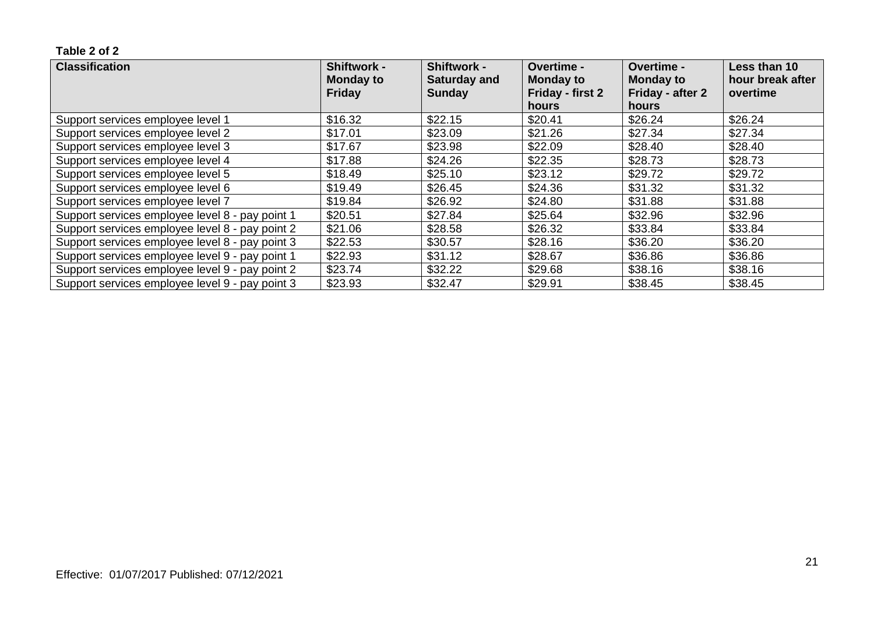| <b>Classification</b>                           | <b>Shiftwork -</b><br><b>Monday to</b><br><b>Friday</b> | <b>Shiftwork -</b><br><b>Saturday and</b><br><b>Sunday</b> | <b>Overtime -</b><br><b>Monday to</b><br>Friday - first 2 | <b>Overtime -</b><br><b>Monday to</b><br>Friday - after 2 | Less than 10<br>hour break after<br>overtime |
|-------------------------------------------------|---------------------------------------------------------|------------------------------------------------------------|-----------------------------------------------------------|-----------------------------------------------------------|----------------------------------------------|
|                                                 |                                                         |                                                            | hours                                                     | hours                                                     |                                              |
| Support services employee level 1               | \$16.32                                                 | \$22.15                                                    | \$20.41                                                   | \$26.24                                                   | \$26.24                                      |
| Support services employee level 2               | \$17.01                                                 | \$23.09                                                    | \$21.26                                                   | \$27.34                                                   | \$27.34                                      |
| Support services employee level 3               | \$17.67                                                 | \$23.98                                                    | \$22.09                                                   | \$28.40                                                   | \$28.40                                      |
| Support services employee level 4               | \$17.88                                                 | \$24.26                                                    | \$22.35                                                   | \$28.73                                                   | \$28.73                                      |
| Support services employee level 5               | \$18.49                                                 | \$25.10                                                    | \$23.12                                                   | \$29.72                                                   | \$29.72                                      |
| Support services employee level 6               | \$19.49                                                 | \$26.45                                                    | \$24.36                                                   | \$31.32                                                   | \$31.32                                      |
| Support services employee level 7               | \$19.84                                                 | \$26.92                                                    | \$24.80                                                   | \$31.88                                                   | \$31.88                                      |
| Support services employee level 8 - pay point 1 | \$20.51                                                 | \$27.84                                                    | \$25.64                                                   | \$32.96                                                   | \$32.96                                      |
| Support services employee level 8 - pay point 2 | \$21.06                                                 | \$28.58                                                    | \$26.32                                                   | \$33.84                                                   | \$33.84                                      |
| Support services employee level 8 - pay point 3 | \$22.53                                                 | \$30.57                                                    | \$28.16                                                   | \$36.20                                                   | \$36.20                                      |
| Support services employee level 9 - pay point 1 | \$22.93                                                 | \$31.12                                                    | \$28.67                                                   | \$36.86                                                   | \$36.86                                      |
| Support services employee level 9 - pay point 2 | \$23.74                                                 | \$32.22                                                    | \$29.68                                                   | \$38.16                                                   | \$38.16                                      |
| Support services employee level 9 - pay point 3 | \$23.93                                                 | \$32.47                                                    | \$29.91                                                   | \$38.45                                                   | \$38.45                                      |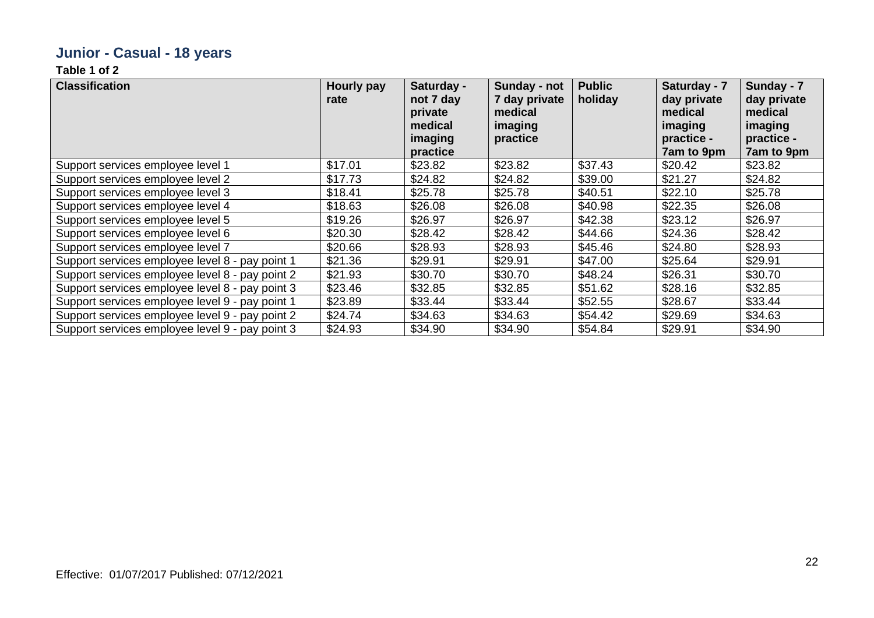### **Junior - Casual - 18 years**

| <b>Classification</b>                           | Hourly pay<br>rate | Saturday -<br>not 7 day<br>private<br>medical<br>imaging<br>practice | Sunday - not<br>7 day private<br>medical<br>imaging<br>practice | <b>Public</b><br>holiday | Saturday - 7<br>day private<br>medical<br>imaging<br>practice -<br>7am to 9pm | Sunday - 7<br>day private<br>medical<br>imaging<br>practice -<br>7am to 9pm |
|-------------------------------------------------|--------------------|----------------------------------------------------------------------|-----------------------------------------------------------------|--------------------------|-------------------------------------------------------------------------------|-----------------------------------------------------------------------------|
| Support services employee level 1               | \$17.01            | \$23.82                                                              | \$23.82                                                         | \$37.43                  | \$20.42                                                                       | \$23.82                                                                     |
| Support services employee level 2               | \$17.73            | \$24.82                                                              | \$24.82                                                         | \$39.00                  | \$21.27                                                                       | \$24.82                                                                     |
| Support services employee level 3               | \$18.41            | \$25.78                                                              | \$25.78                                                         | \$40.51                  | \$22.10                                                                       | \$25.78                                                                     |
| Support services employee level 4               | \$18.63            | \$26.08                                                              | \$26.08                                                         | \$40.98                  | \$22.35                                                                       | \$26.08                                                                     |
| Support services employee level 5               | \$19.26            | \$26.97                                                              | \$26.97                                                         | \$42.38                  | \$23.12                                                                       | \$26.97                                                                     |
| Support services employee level 6               | \$20.30            | \$28.42                                                              | \$28.42                                                         | \$44.66                  | \$24.36                                                                       | \$28.42                                                                     |
| Support services employee level 7               | \$20.66            | \$28.93                                                              | \$28.93                                                         | \$45.46                  | \$24.80                                                                       | \$28.93                                                                     |
| Support services employee level 8 - pay point 1 | \$21.36            | \$29.91                                                              | \$29.91                                                         | \$47.00                  | \$25.64                                                                       | \$29.91                                                                     |
| Support services employee level 8 - pay point 2 | \$21.93            | \$30.70                                                              | \$30.70                                                         | \$48.24                  | \$26.31                                                                       | \$30.70                                                                     |
| Support services employee level 8 - pay point 3 | \$23.46            | \$32.85                                                              | \$32.85                                                         | \$51.62                  | \$28.16                                                                       | \$32.85                                                                     |
| Support services employee level 9 - pay point 1 | \$23.89            | \$33.44                                                              | \$33.44                                                         | \$52.55                  | \$28.67                                                                       | \$33.44                                                                     |
| Support services employee level 9 - pay point 2 | \$24.74            | \$34.63                                                              | \$34.63                                                         | \$54.42                  | \$29.69                                                                       | \$34.63                                                                     |
| Support services employee level 9 - pay point 3 | \$24.93            | \$34.90                                                              | \$34.90                                                         | \$54.84                  | \$29.91                                                                       | \$34.90                                                                     |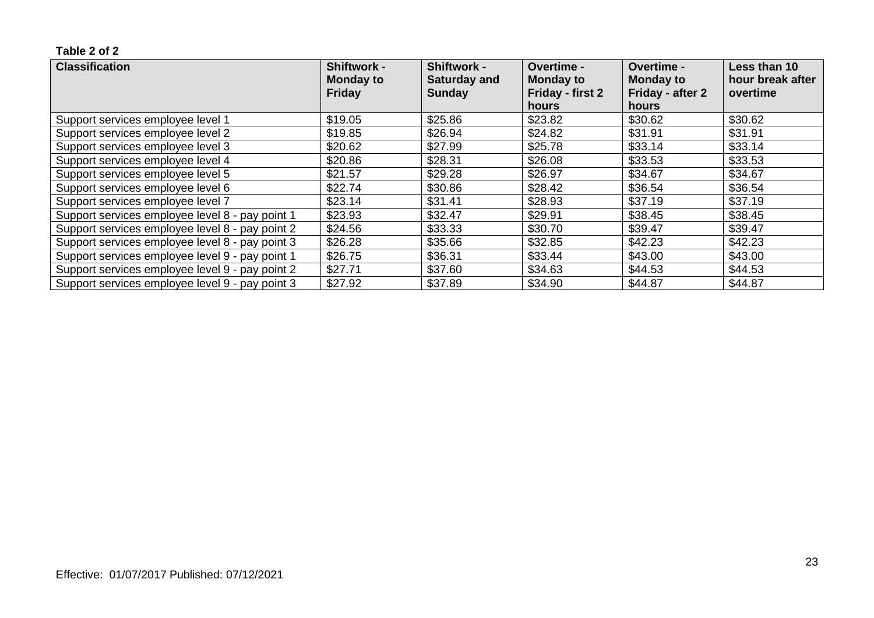| <b>Classification</b>                           | <b>Shiftwork -</b><br><b>Monday to</b> | <b>Shiftwork -</b><br><b>Saturday and</b> | <b>Overtime -</b><br><b>Monday to</b> | <b>Overtime -</b><br><b>Monday to</b> | Less than 10<br>hour break after |
|-------------------------------------------------|----------------------------------------|-------------------------------------------|---------------------------------------|---------------------------------------|----------------------------------|
|                                                 | <b>Friday</b>                          | <b>Sunday</b>                             | Friday - first 2<br>hours             | Friday - after 2<br>hours             | overtime                         |
| Support services employee level 1               | \$19.05                                | \$25.86                                   | \$23.82                               | \$30.62                               | \$30.62                          |
| Support services employee level 2               | \$19.85                                | \$26.94                                   | \$24.82                               | \$31.91                               | \$31.91                          |
| Support services employee level 3               | \$20.62                                | \$27.99                                   | \$25.78                               | \$33.14                               | \$33.14                          |
| Support services employee level 4               | \$20.86                                | \$28.31                                   | \$26.08                               | \$33.53                               | \$33.53                          |
| Support services employee level 5               | \$21.57                                | \$29.28                                   | \$26.97                               | \$34.67                               | \$34.67                          |
| Support services employee level 6               | \$22.74                                | \$30.86                                   | \$28.42                               | \$36.54                               | \$36.54                          |
| Support services employee level 7               | \$23.14                                | \$31.41                                   | \$28.93                               | \$37.19                               | \$37.19                          |
| Support services employee level 8 - pay point 1 | \$23.93                                | \$32.47                                   | \$29.91                               | \$38.45                               | \$38.45                          |
| Support services employee level 8 - pay point 2 | \$24.56                                | \$33.33                                   | \$30.70                               | \$39.47                               | \$39.47                          |
| Support services employee level 8 - pay point 3 | \$26.28                                | \$35.66                                   | \$32.85                               | \$42.23                               | \$42.23                          |
| Support services employee level 9 - pay point 1 | \$26.75                                | \$36.31                                   | \$33.44                               | \$43.00                               | \$43.00                          |
| Support services employee level 9 - pay point 2 | \$27.71                                | \$37.60                                   | \$34.63                               | \$44.53                               | \$44.53                          |
| Support services employee level 9 - pay point 3 | \$27.92                                | \$37.89                                   | \$34.90                               | \$44.87                               | \$44.87                          |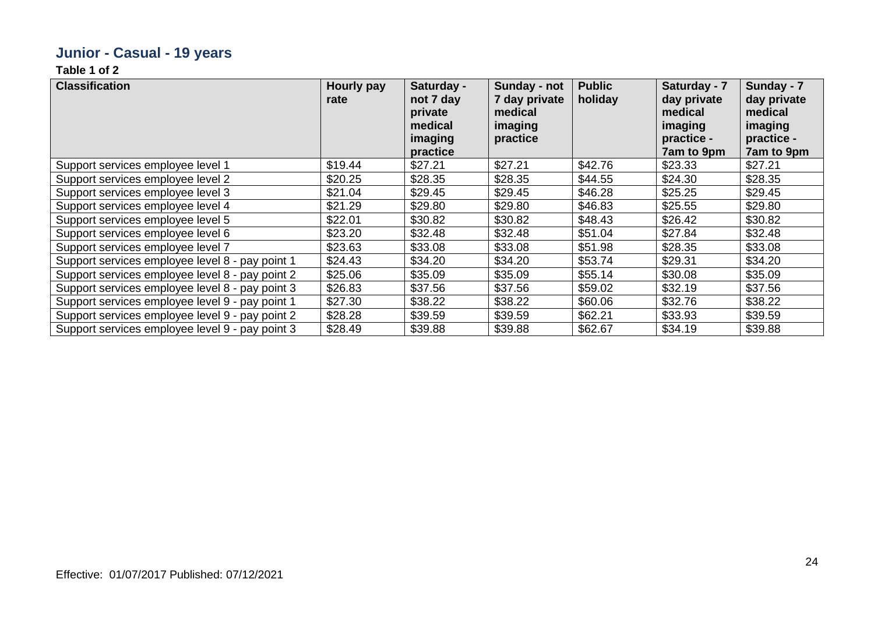### **Junior - Casual - 19 years**

| <b>Classification</b>                           | Hourly pay<br>rate | Saturday -<br>not 7 day<br>private<br>medical<br>imaging<br>practice | Sunday - not<br>7 day private<br>medical<br>imaging<br>practice | <b>Public</b><br>holiday | Saturday - 7<br>day private<br>medical<br>imaging<br>practice -<br>7am to 9pm | Sunday - 7<br>day private<br>medical<br>imaging<br>practice -<br>7am to 9pm |
|-------------------------------------------------|--------------------|----------------------------------------------------------------------|-----------------------------------------------------------------|--------------------------|-------------------------------------------------------------------------------|-----------------------------------------------------------------------------|
| Support services employee level 1               | \$19.44            | \$27.21                                                              | \$27.21                                                         | \$42.76                  | \$23.33                                                                       | \$27.21                                                                     |
| Support services employee level 2               | \$20.25            | \$28.35                                                              | \$28.35                                                         | \$44.55                  | \$24.30                                                                       | \$28.35                                                                     |
| Support services employee level 3               | \$21.04            | \$29.45                                                              | \$29.45                                                         | \$46.28                  | \$25.25                                                                       | \$29.45                                                                     |
| Support services employee level 4               | \$21.29            | \$29.80                                                              | \$29.80                                                         | \$46.83                  | \$25.55                                                                       | \$29.80                                                                     |
| Support services employee level 5               | \$22.01            | \$30.82                                                              | \$30.82                                                         | \$48.43                  | \$26.42                                                                       | \$30.82                                                                     |
| Support services employee level 6               | \$23.20            | \$32.48                                                              | \$32.48                                                         | \$51.04                  | \$27.84                                                                       | \$32.48                                                                     |
| Support services employee level 7               | \$23.63            | \$33.08                                                              | \$33.08                                                         | \$51.98                  | \$28.35                                                                       | \$33.08                                                                     |
| Support services employee level 8 - pay point 1 | \$24.43            | \$34.20                                                              | \$34.20                                                         | \$53.74                  | \$29.31                                                                       | \$34.20                                                                     |
| Support services employee level 8 - pay point 2 | \$25.06            | \$35.09                                                              | \$35.09                                                         | \$55.14                  | \$30.08                                                                       | \$35.09                                                                     |
| Support services employee level 8 - pay point 3 | \$26.83            | \$37.56                                                              | \$37.56                                                         | \$59.02                  | \$32.19                                                                       | \$37.56                                                                     |
| Support services employee level 9 - pay point 1 | \$27.30            | \$38.22                                                              | \$38.22                                                         | \$60.06                  | \$32.76                                                                       | \$38.22                                                                     |
| Support services employee level 9 - pay point 2 | \$28.28            | \$39.59                                                              | \$39.59                                                         | \$62.21                  | \$33.93                                                                       | \$39.59                                                                     |
| Support services employee level 9 - pay point 3 | \$28.49            | \$39.88                                                              | \$39.88                                                         | \$62.67                  | \$34.19                                                                       | \$39.88                                                                     |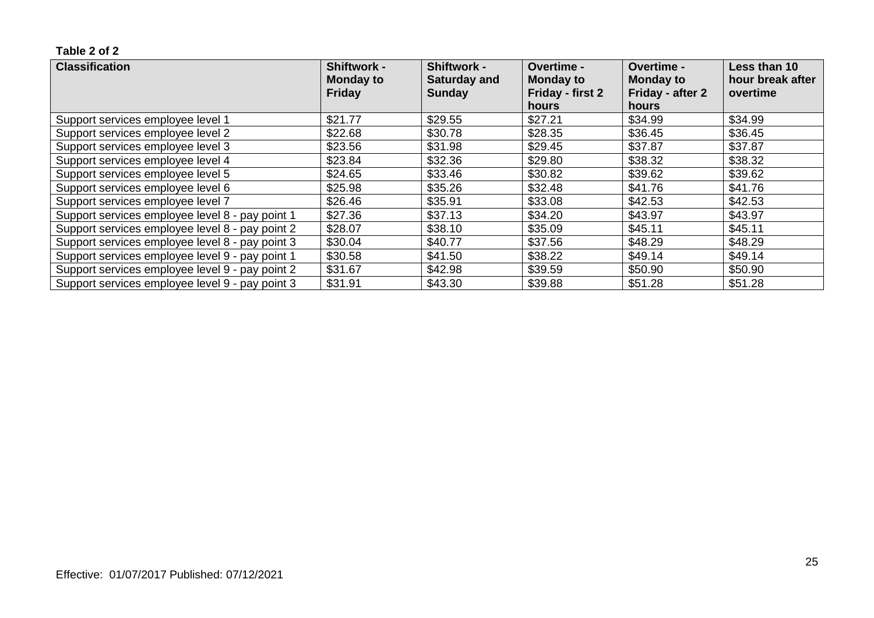| <b>Classification</b>                           | <b>Shiftwork -</b><br><b>Monday to</b> | <b>Shiftwork -</b><br><b>Saturday and</b> | <b>Overtime -</b><br><b>Monday to</b> | <b>Overtime -</b><br><b>Monday to</b> | Less than 10<br>hour break after |
|-------------------------------------------------|----------------------------------------|-------------------------------------------|---------------------------------------|---------------------------------------|----------------------------------|
|                                                 | <b>Friday</b>                          | <b>Sunday</b>                             | Friday - first 2                      | Friday - after 2                      | overtime                         |
|                                                 |                                        |                                           | hours                                 | hours                                 |                                  |
| Support services employee level 1               | \$21.77                                | \$29.55                                   | \$27.21                               | \$34.99                               | \$34.99                          |
| Support services employee level 2               | \$22.68                                | \$30.78                                   | \$28.35                               | \$36.45                               | \$36.45                          |
| Support services employee level 3               | \$23.56                                | \$31.98                                   | \$29.45                               | \$37.87                               | \$37.87                          |
| Support services employee level 4               | \$23.84                                | \$32.36                                   | \$29.80                               | \$38.32                               | \$38.32                          |
| Support services employee level 5               | \$24.65                                | \$33.46                                   | \$30.82                               | \$39.62                               | \$39.62                          |
| Support services employee level 6               | \$25.98                                | \$35.26                                   | \$32.48                               | \$41.76                               | \$41.76                          |
| Support services employee level 7               | \$26.46                                | \$35.91                                   | \$33.08                               | \$42.53                               | \$42.53                          |
| Support services employee level 8 - pay point 1 | \$27.36                                | \$37.13                                   | \$34.20                               | \$43.97                               | \$43.97                          |
| Support services employee level 8 - pay point 2 | \$28.07                                | \$38.10                                   | \$35.09                               | \$45.11                               | \$45.11                          |
| Support services employee level 8 - pay point 3 | \$30.04                                | \$40.77                                   | \$37.56                               | \$48.29                               | \$48.29                          |
| Support services employee level 9 - pay point 1 | \$30.58                                | \$41.50                                   | \$38.22                               | \$49.14                               | \$49.14                          |
| Support services employee level 9 - pay point 2 | \$31.67                                | \$42.98                                   | \$39.59                               | \$50.90                               | \$50.90                          |
| Support services employee level 9 - pay point 3 | \$31.91                                | \$43.30                                   | \$39.88                               | \$51.28                               | \$51.28                          |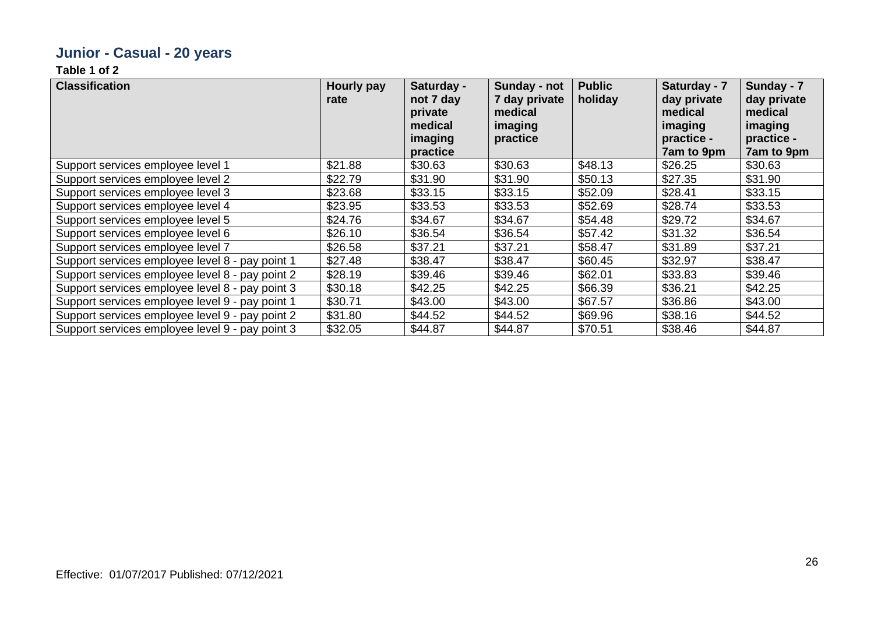### **Junior - Casual - 20 years**

| <b>Classification</b>                           | Hourly pay<br>rate | Saturday -<br>not 7 day<br>private<br>medical<br>imaging<br>practice | Sunday - not<br>7 day private<br>medical<br>imaging<br>practice | <b>Public</b><br>holiday | Saturday - 7<br>day private<br>medical<br>imaging<br>practice -<br>7am to 9pm | Sunday - 7<br>day private<br>medical<br>imaging<br>practice -<br>7am to 9pm |
|-------------------------------------------------|--------------------|----------------------------------------------------------------------|-----------------------------------------------------------------|--------------------------|-------------------------------------------------------------------------------|-----------------------------------------------------------------------------|
| Support services employee level 1               | \$21.88            | \$30.63                                                              | \$30.63                                                         | \$48.13                  | \$26.25                                                                       | \$30.63                                                                     |
| Support services employee level 2               | \$22.79            | \$31.90                                                              | \$31.90                                                         | \$50.13                  | \$27.35                                                                       | \$31.90                                                                     |
| Support services employee level 3               | \$23.68            | \$33.15                                                              | \$33.15                                                         | \$52.09                  | \$28.41                                                                       | \$33.15                                                                     |
| Support services employee level 4               | \$23.95            | \$33.53                                                              | \$33.53                                                         | \$52.69                  | \$28.74                                                                       | \$33.53                                                                     |
| Support services employee level 5               | \$24.76            | \$34.67                                                              | \$34.67                                                         | \$54.48                  | \$29.72                                                                       | \$34.67                                                                     |
| Support services employee level 6               | \$26.10            | \$36.54                                                              | \$36.54                                                         | \$57.42                  | \$31.32                                                                       | \$36.54                                                                     |
| Support services employee level 7               | \$26.58            | \$37.21                                                              | \$37.21                                                         | \$58.47                  | \$31.89                                                                       | \$37.21                                                                     |
| Support services employee level 8 - pay point 1 | \$27.48            | \$38.47                                                              | \$38.47                                                         | \$60.45                  | \$32.97                                                                       | \$38.47                                                                     |
| Support services employee level 8 - pay point 2 | \$28.19            | \$39.46                                                              | \$39.46                                                         | \$62.01                  | \$33.83                                                                       | \$39.46                                                                     |
| Support services employee level 8 - pay point 3 | \$30.18            | \$42.25                                                              | \$42.25                                                         | \$66.39                  | \$36.21                                                                       | \$42.25                                                                     |
| Support services employee level 9 - pay point 1 | \$30.71            | \$43.00                                                              | \$43.00                                                         | \$67.57                  | \$36.86                                                                       | \$43.00                                                                     |
| Support services employee level 9 - pay point 2 | \$31.80            | \$44.52                                                              | \$44.52                                                         | \$69.96                  | \$38.16                                                                       | \$44.52                                                                     |
| Support services employee level 9 - pay point 3 | \$32.05            | \$44.87                                                              | \$44.87                                                         | \$70.51                  | \$38.46                                                                       | \$44.87                                                                     |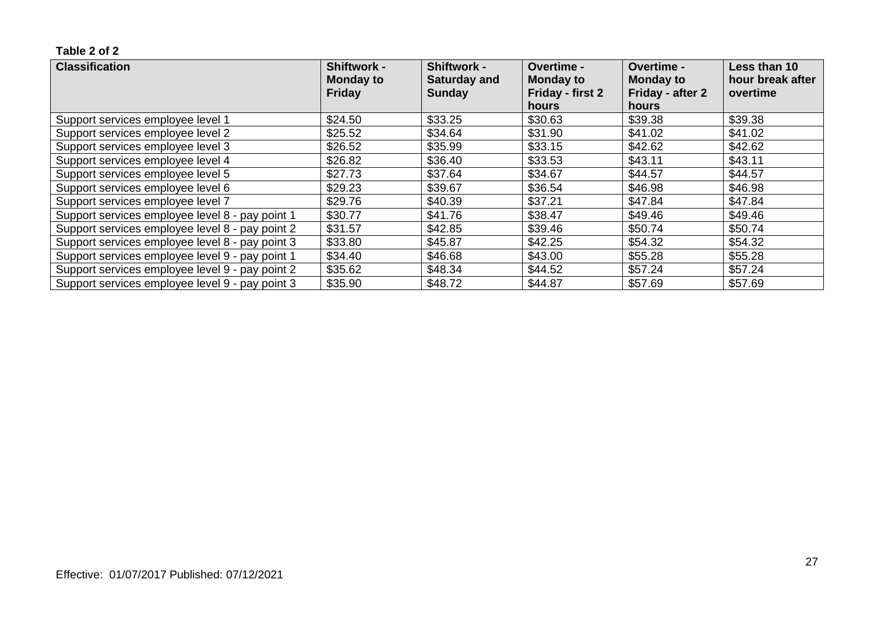| <b>Classification</b>                           | <b>Shiftwork -</b><br><b>Monday to</b> | <b>Shiftwork -</b><br><b>Saturday and</b> | <b>Overtime -</b><br><b>Monday to</b> | <b>Overtime -</b><br><b>Monday to</b> | Less than 10<br>hour break after |
|-------------------------------------------------|----------------------------------------|-------------------------------------------|---------------------------------------|---------------------------------------|----------------------------------|
|                                                 | <b>Friday</b>                          | <b>Sunday</b>                             | Friday - first 2                      | Friday - after 2                      | overtime                         |
|                                                 |                                        |                                           | hours                                 | hours                                 |                                  |
| Support services employee level 1               | \$24.50                                | \$33.25                                   | \$30.63                               | \$39.38                               | \$39.38                          |
| Support services employee level 2               | \$25.52                                | \$34.64                                   | \$31.90                               | \$41.02                               | \$41.02                          |
| Support services employee level 3               | \$26.52                                | \$35.99                                   | \$33.15                               | \$42.62                               | \$42.62                          |
| Support services employee level 4               | \$26.82                                | \$36.40                                   | \$33.53                               | \$43.11                               | \$43.11                          |
| Support services employee level 5               | \$27.73                                | \$37.64                                   | \$34.67                               | \$44.57                               | \$44.57                          |
| Support services employee level 6               | \$29.23                                | \$39.67                                   | \$36.54                               | \$46.98                               | \$46.98                          |
| Support services employee level 7               | \$29.76                                | \$40.39                                   | \$37.21                               | \$47.84                               | \$47.84                          |
| Support services employee level 8 - pay point 1 | \$30.77                                | \$41.76                                   | \$38.47                               | \$49.46                               | \$49.46                          |
| Support services employee level 8 - pay point 2 | \$31.57                                | \$42.85                                   | \$39.46                               | \$50.74                               | \$50.74                          |
| Support services employee level 8 - pay point 3 | \$33.80                                | \$45.87                                   | \$42.25                               | \$54.32                               | \$54.32                          |
| Support services employee level 9 - pay point 1 | \$34.40                                | \$46.68                                   | \$43.00                               | \$55.28                               | \$55.28                          |
| Support services employee level 9 - pay point 2 | \$35.62                                | \$48.34                                   | \$44.52                               | \$57.24                               | \$57.24                          |
| Support services employee level 9 - pay point 3 | \$35.90                                | \$48.72                                   | \$44.87                               | \$57.69                               | \$57.69                          |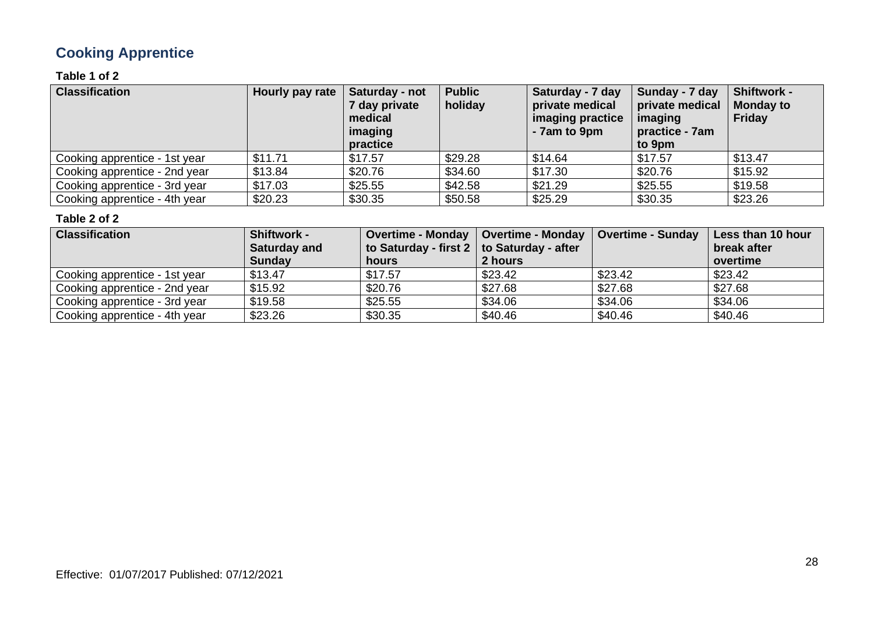### **Cooking Apprentice**

#### **Table 1 of 2**

| <b>Classification</b>         | Hourly pay rate | Saturday - not<br>7 day private<br>medical<br>imaging<br>practice | <b>Public</b><br>holiday | Saturday - 7 day<br>private medical<br>imaging practice<br>- 7am to 9pm | Sunday - 7 day<br>private medical<br>imaging<br>practice - 7am<br>to 9pm | <b>Shiftwork -</b><br><b>Monday to</b><br><b>Friday</b> |
|-------------------------------|-----------------|-------------------------------------------------------------------|--------------------------|-------------------------------------------------------------------------|--------------------------------------------------------------------------|---------------------------------------------------------|
| Cooking apprentice - 1st year | \$11.71         | \$17.57                                                           | \$29.28                  | \$14.64                                                                 | \$17.57                                                                  | \$13.47                                                 |
| Cooking apprentice - 2nd year | \$13.84         | \$20.76                                                           | \$34.60                  | \$17.30                                                                 | \$20.76                                                                  | \$15.92                                                 |
| Cooking apprentice - 3rd year | \$17.03         | \$25.55                                                           | \$42.58                  | \$21.29                                                                 | \$25.55                                                                  | \$19.58                                                 |
| Cooking apprentice - 4th year | \$20.23         | \$30.35                                                           | \$50.58                  | \$25.29                                                                 | \$30.35                                                                  | \$23.26                                                 |

| <b>Classification</b>         | <b>Shiftwork -</b>  | Overtime - Monday   Overtime - Monday            |         | <b>Overtime - Sunday</b> | Less than 10 hour |
|-------------------------------|---------------------|--------------------------------------------------|---------|--------------------------|-------------------|
|                               | <b>Saturday and</b> | to Saturday - first $2 \mid$ to Saturday - after |         |                          | break after       |
|                               | <b>Sunday</b>       | hours                                            | 2 hours |                          | overtime          |
| Cooking apprentice - 1st year | \$13.47             | \$17.57                                          | \$23.42 | \$23.42                  | \$23.42           |
| Cooking apprentice - 2nd year | \$15.92             | \$20.76                                          | \$27.68 | \$27.68                  | \$27.68           |
| Cooking apprentice - 3rd year | \$19.58             | \$25.55                                          | \$34.06 | \$34.06                  | \$34.06           |
| Cooking apprentice - 4th year | \$23.26             | \$30.35                                          | \$40.46 | \$40.46                  | \$40.46           |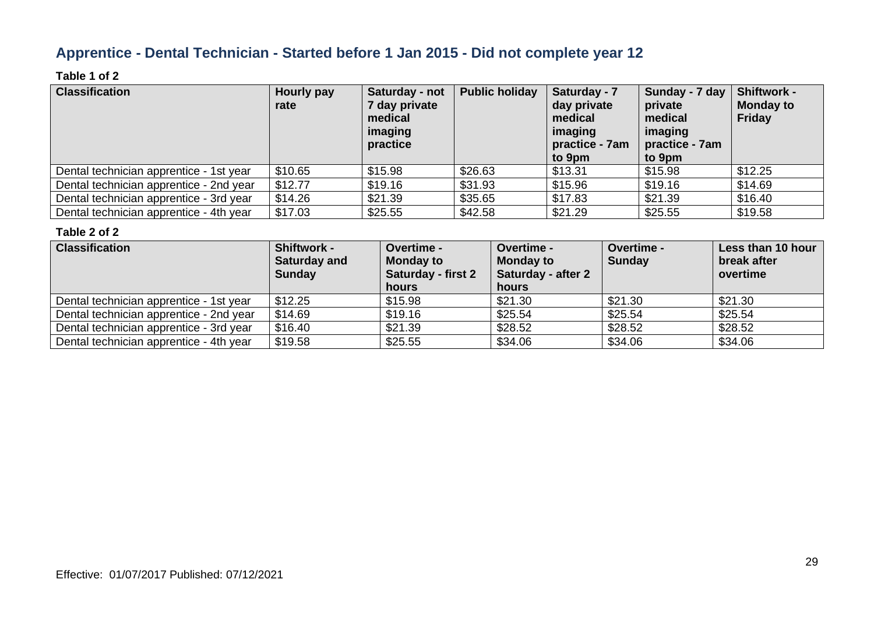### **Apprentice - Dental Technician - Started before 1 Jan 2015 - Did not complete year 12**

#### **Table 1 of 2**

| <b>Classification</b>                   | Hourly pay<br>rate | Saturday - not<br>7 day private<br>medical<br>imaging<br>practice | <b>Public holiday</b> | Saturday - 7<br>day private<br>medical<br>imaging<br>practice - 7am<br>to 9pm | Sunday - 7 day<br>private<br>medical<br>imaging<br>practice - 7am<br>to 9pm | <b>Shiftwork -</b><br><b>Monday to</b><br><b>Friday</b> |
|-----------------------------------------|--------------------|-------------------------------------------------------------------|-----------------------|-------------------------------------------------------------------------------|-----------------------------------------------------------------------------|---------------------------------------------------------|
| Dental technician apprentice - 1st year | \$10.65            | \$15.98                                                           | \$26.63               | \$13.31                                                                       | \$15.98                                                                     | \$12.25                                                 |
| Dental technician apprentice - 2nd year | \$12.77            | \$19.16                                                           | \$31.93               | \$15.96                                                                       | \$19.16                                                                     | \$14.69                                                 |
| Dental technician apprentice - 3rd year | \$14.26            | \$21.39                                                           | \$35.65               | \$17.83                                                                       | \$21.39                                                                     | \$16.40                                                 |
| Dental technician apprentice - 4th year | \$17.03            | \$25.55                                                           | \$42.58               | \$21.29                                                                       | \$25.55                                                                     | \$19.58                                                 |

| <b>Classification</b>                   | <b>Shiftwork -</b><br>Saturday and<br><b>Sunday</b> | <b>Overtime -</b><br><b>Monday to</b><br><b>Saturday - first 2</b><br>hours | <b>Overtime -</b><br><b>Monday to</b><br><b>Saturday - after 2</b><br>hours | <b>Overtime -</b><br>Sunday | Less than 10 hour<br>break after<br>overtime |
|-----------------------------------------|-----------------------------------------------------|-----------------------------------------------------------------------------|-----------------------------------------------------------------------------|-----------------------------|----------------------------------------------|
| Dental technician apprentice - 1st year | \$12.25                                             | \$15.98                                                                     | \$21.30                                                                     | \$21.30                     | \$21.30                                      |
| Dental technician apprentice - 2nd year | \$14.69                                             | \$19.16                                                                     | \$25.54                                                                     | \$25.54                     | \$25.54                                      |
| Dental technician apprentice - 3rd year | \$16.40                                             | \$21.39                                                                     | \$28.52                                                                     | \$28.52                     | \$28.52                                      |
| Dental technician apprentice - 4th year | \$19.58                                             | \$25.55                                                                     | \$34.06                                                                     | \$34.06                     | \$34.06                                      |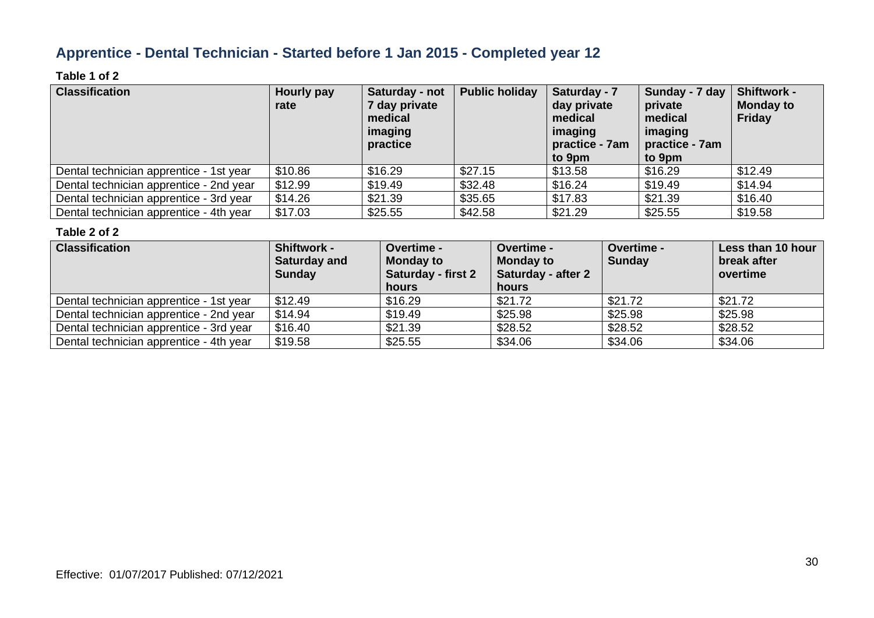### **Apprentice - Dental Technician - Started before 1 Jan 2015 - Completed year 12**

#### **Table 1 of 2**

| <b>Classification</b>                   | Hourly pay<br>rate | Saturday - not<br>7 day private<br>medical<br>imaging<br>practice | <b>Public holiday</b> | Saturday - 7<br>day private<br>medical<br>imaging<br>practice - 7am<br>to 9pm | Sunday - 7 day<br>private<br>medical<br>imaging<br>practice - 7am<br>to 9pm | <b>Shiftwork -</b><br><b>Monday to</b><br><b>Friday</b> |
|-----------------------------------------|--------------------|-------------------------------------------------------------------|-----------------------|-------------------------------------------------------------------------------|-----------------------------------------------------------------------------|---------------------------------------------------------|
| Dental technician apprentice - 1st year | \$10.86            | \$16.29                                                           | \$27.15               | \$13.58                                                                       | \$16.29                                                                     | \$12.49                                                 |
| Dental technician apprentice - 2nd year | \$12.99            | \$19.49                                                           | \$32.48               | \$16.24                                                                       | \$19.49                                                                     | \$14.94                                                 |
| Dental technician apprentice - 3rd year | \$14.26            | \$21.39                                                           | \$35.65               | \$17.83                                                                       | \$21.39                                                                     | \$16.40                                                 |
| Dental technician apprentice - 4th year | \$17.03            | \$25.55                                                           | \$42.58               | \$21.29                                                                       | \$25.55                                                                     | \$19.58                                                 |

| <b>Classification</b>                   | <b>Shiftwork -</b><br><b>Saturday and</b><br><b>Sunday</b> | Overtime -<br><b>Monday to</b><br><b>Saturday - first 2</b><br>hours | <b>Overtime -</b><br><b>Monday to</b><br><b>Saturday - after 2</b><br>hours | <b>Overtime -</b><br><b>Sunday</b> | Less than 10 hour<br>break after<br>overtime |
|-----------------------------------------|------------------------------------------------------------|----------------------------------------------------------------------|-----------------------------------------------------------------------------|------------------------------------|----------------------------------------------|
| Dental technician apprentice - 1st year | \$12.49                                                    | \$16.29                                                              | \$21.72                                                                     | \$21.72                            | \$21.72                                      |
| Dental technician apprentice - 2nd year | \$14.94                                                    | \$19.49                                                              | \$25.98                                                                     | \$25.98                            | \$25.98                                      |
| Dental technician apprentice - 3rd year | \$16.40                                                    | \$21.39                                                              | \$28.52                                                                     | \$28.52                            | \$28.52                                      |
| Dental technician apprentice - 4th year | \$19.58                                                    | \$25.55                                                              | \$34.06                                                                     | \$34.06                            | \$34.06                                      |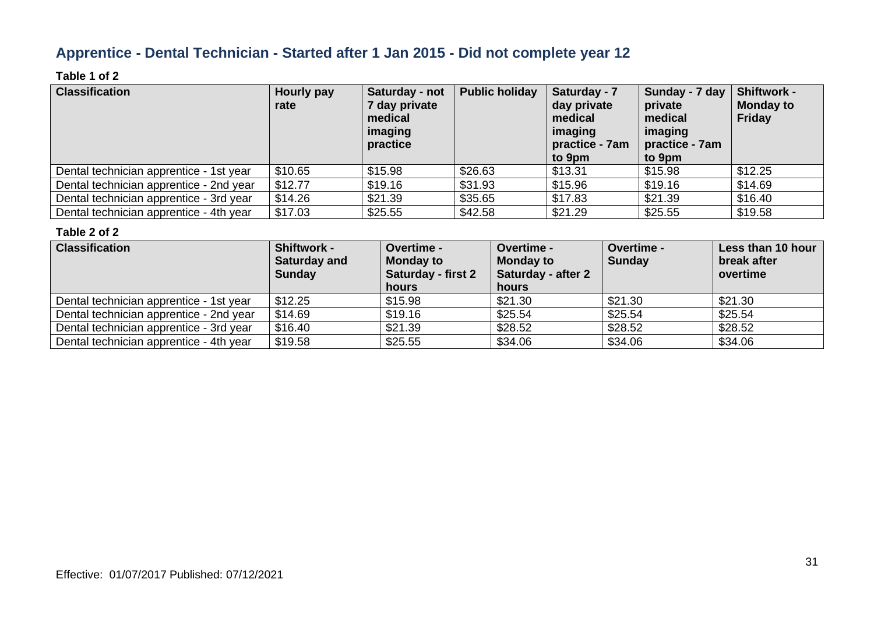### **Apprentice - Dental Technician - Started after 1 Jan 2015 - Did not complete year 12**

#### **Table 1 of 2**

| <b>Classification</b>                   | Hourly pay<br>rate | Saturday - not<br>7 day private<br>medical<br>imaging<br>practice | <b>Public holiday</b> | Saturday - 7<br>day private<br>medical<br>imaging<br>practice - 7am<br>to 9pm | Sunday - 7 day<br>private<br>medical<br>imaging<br>practice - 7am<br>to 9pm | <b>Shiftwork -</b><br><b>Monday to</b><br><b>Friday</b> |
|-----------------------------------------|--------------------|-------------------------------------------------------------------|-----------------------|-------------------------------------------------------------------------------|-----------------------------------------------------------------------------|---------------------------------------------------------|
| Dental technician apprentice - 1st year | \$10.65            | \$15.98                                                           | \$26.63               | \$13.31                                                                       | \$15.98                                                                     | \$12.25                                                 |
| Dental technician apprentice - 2nd year | \$12.77            | \$19.16                                                           | \$31.93               | \$15.96                                                                       | \$19.16                                                                     | \$14.69                                                 |
| Dental technician apprentice - 3rd year | \$14.26            | \$21.39                                                           | \$35.65               | \$17.83                                                                       | \$21.39                                                                     | \$16.40                                                 |
| Dental technician apprentice - 4th year | \$17.03            | \$25.55                                                           | \$42.58               | \$21.29                                                                       | \$25.55                                                                     | \$19.58                                                 |

| <b>Classification</b>                   | <b>Shiftwork -</b><br>Saturday and<br><b>Sunday</b> | <b>Overtime -</b><br><b>Monday to</b><br><b>Saturday - first 2</b><br>hours | <b>Overtime -</b><br><b>Monday to</b><br><b>Saturday - after 2</b><br>hours | <b>Overtime -</b><br>Sunday | Less than 10 hour<br>break after<br>overtime |
|-----------------------------------------|-----------------------------------------------------|-----------------------------------------------------------------------------|-----------------------------------------------------------------------------|-----------------------------|----------------------------------------------|
| Dental technician apprentice - 1st year | \$12.25                                             | \$15.98                                                                     | \$21.30                                                                     | \$21.30                     | \$21.30                                      |
| Dental technician apprentice - 2nd year | \$14.69                                             | \$19.16                                                                     | \$25.54                                                                     | \$25.54                     | \$25.54                                      |
| Dental technician apprentice - 3rd year | \$16.40                                             | \$21.39                                                                     | \$28.52                                                                     | \$28.52                     | \$28.52                                      |
| Dental technician apprentice - 4th year | \$19.58                                             | \$25.55                                                                     | \$34.06                                                                     | \$34.06                     | \$34.06                                      |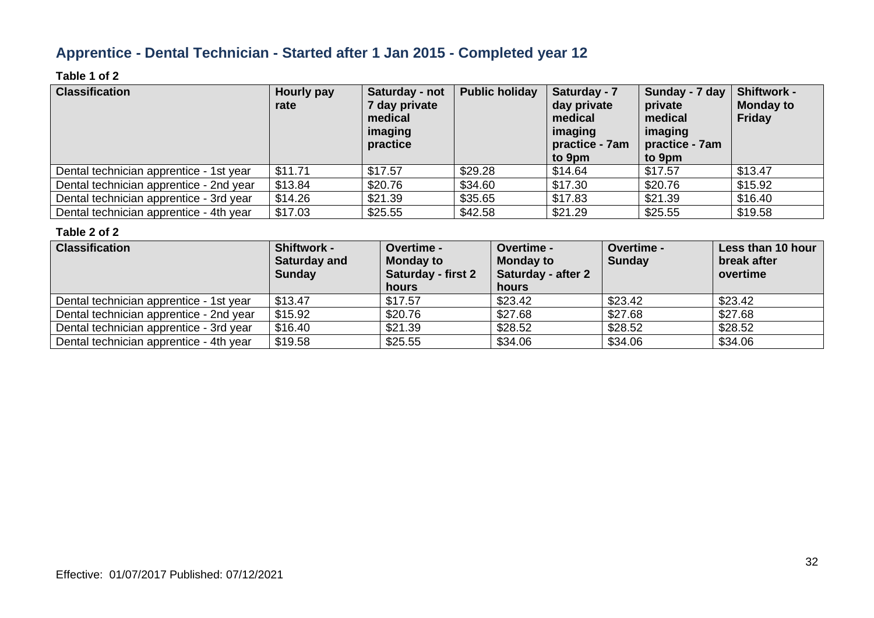### **Apprentice - Dental Technician - Started after 1 Jan 2015 - Completed year 12**

#### **Table 1 of 2**

| <b>Classification</b>                   | Hourly pay<br>rate | Saturday - not<br>7 day private<br>medical<br>imaging<br>practice | <b>Public holiday</b> | Saturday - 7<br>day private<br>medical<br>imaging<br>practice - 7am<br>to 9pm | Sunday - 7 day<br>private<br>medical<br>imaging<br>practice - 7am<br>to 9pm | <b>Shiftwork -</b><br><b>Monday to</b><br><b>Friday</b> |
|-----------------------------------------|--------------------|-------------------------------------------------------------------|-----------------------|-------------------------------------------------------------------------------|-----------------------------------------------------------------------------|---------------------------------------------------------|
| Dental technician apprentice - 1st year | \$11.71            | \$17.57                                                           | \$29.28               | \$14.64                                                                       | \$17.57                                                                     | \$13.47                                                 |
| Dental technician apprentice - 2nd year | \$13.84            | \$20.76                                                           | \$34.60               | \$17.30                                                                       | \$20.76                                                                     | \$15.92                                                 |
| Dental technician apprentice - 3rd year | \$14.26            | \$21.39                                                           | \$35.65               | \$17.83                                                                       | \$21.39                                                                     | \$16.40                                                 |
| Dental technician apprentice - 4th year | \$17.03            | \$25.55                                                           | \$42.58               | \$21.29                                                                       | \$25.55                                                                     | \$19.58                                                 |

| <b>Classification</b>                   | <b>Shiftwork -</b><br><b>Saturday and</b><br><b>Sunday</b> | Overtime -<br><b>Monday to</b><br><b>Saturday - first 2</b><br>hours | <b>Overtime -</b><br><b>Monday to</b><br><b>Saturday - after 2</b><br>hours | <b>Overtime -</b><br><b>Sunday</b> | Less than 10 hour<br>break after<br>overtime |
|-----------------------------------------|------------------------------------------------------------|----------------------------------------------------------------------|-----------------------------------------------------------------------------|------------------------------------|----------------------------------------------|
| Dental technician apprentice - 1st year | \$13.47                                                    | \$17.57                                                              | \$23.42                                                                     | \$23.42                            | \$23.42                                      |
| Dental technician apprentice - 2nd year | \$15.92                                                    | \$20.76                                                              | \$27.68                                                                     | \$27.68                            | \$27.68                                      |
| Dental technician apprentice - 3rd year | \$16.40                                                    | \$21.39                                                              | \$28.52                                                                     | \$28.52                            | \$28.52                                      |
| Dental technician apprentice - 4th year | \$19.58                                                    | \$25.55                                                              | \$34.06                                                                     | \$34.06                            | \$34.06                                      |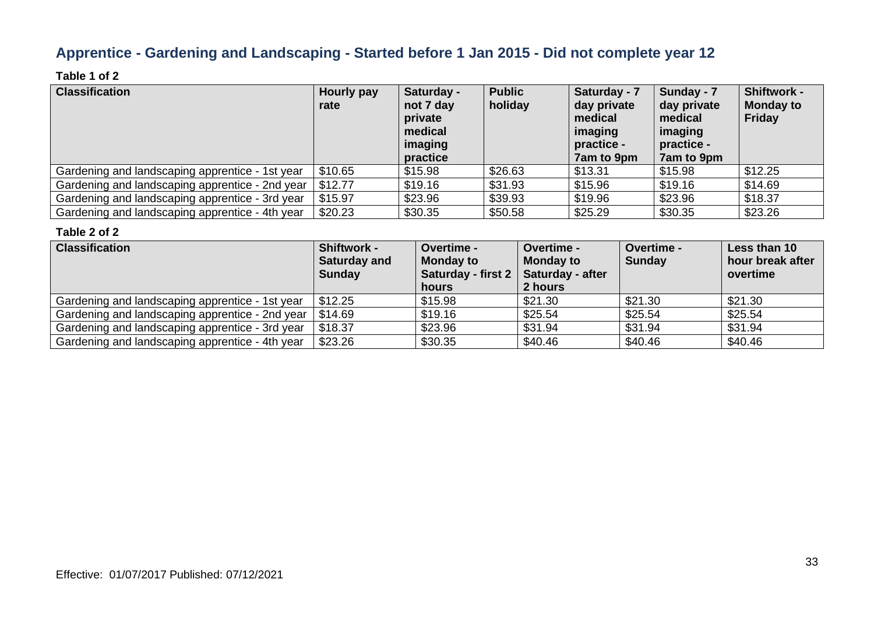### **Apprentice - Gardening and Landscaping - Started before 1 Jan 2015 - Did not complete year 12**

#### **Table 1 of 2**

| <b>Classification</b>                           | Hourly pay<br>rate | Saturday -<br>not 7 day<br>private<br>medical<br>imaging<br>practice | <b>Public</b><br>holiday | Saturday - 7<br>day private<br>medical<br>imaging<br>practice -<br>7am to 9pm | Sunday - 7<br>day private<br>medical<br>imaging<br>practice -<br>7am to 9pm | <b>Shiftwork -</b><br><b>Monday to</b><br>Friday |
|-------------------------------------------------|--------------------|----------------------------------------------------------------------|--------------------------|-------------------------------------------------------------------------------|-----------------------------------------------------------------------------|--------------------------------------------------|
| Gardening and landscaping apprentice - 1st year | \$10.65            | \$15.98                                                              | \$26.63                  | \$13.31                                                                       | \$15.98                                                                     | \$12.25                                          |
| Gardening and landscaping apprentice - 2nd year | \$12.77            | \$19.16                                                              | \$31.93                  | \$15.96                                                                       | \$19.16                                                                     | \$14.69                                          |
| Gardening and landscaping apprentice - 3rd year | \$15.97            | \$23.96                                                              | \$39.93                  | \$19.96                                                                       | \$23.96                                                                     | \$18.37                                          |
| Gardening and landscaping apprentice - 4th year | \$20.23            | \$30.35                                                              | \$50.58                  | \$25.29                                                                       | \$30.35                                                                     | \$23.26                                          |

| <b>Classification</b>                           | <b>Shiftwork -</b><br><b>Saturday and</b><br><b>Sunday</b> | <b>Overtime -</b><br><b>Monday to</b><br>Saturday - first 2<br>hours | <b>Overtime -</b><br><b>Monday to</b><br>Saturday - after<br>2 hours | <b>Overtime -</b><br><b>Sunday</b> | Less than 10<br>hour break after<br>overtime |
|-------------------------------------------------|------------------------------------------------------------|----------------------------------------------------------------------|----------------------------------------------------------------------|------------------------------------|----------------------------------------------|
| Gardening and landscaping apprentice - 1st year | \$12.25                                                    | \$15.98                                                              | \$21.30                                                              | \$21.30                            | \$21.30                                      |
| Gardening and landscaping apprentice - 2nd year | 514.69                                                     | \$19.16                                                              | \$25.54                                                              | \$25.54                            | \$25.54                                      |
| Gardening and landscaping apprentice - 3rd year | \$18.37                                                    | \$23.96                                                              | \$31.94                                                              | \$31.94                            | \$31.94                                      |
| Gardening and landscaping apprentice - 4th year | \$23.26                                                    | \$30.35                                                              | \$40.46                                                              | \$40.46                            | \$40.46                                      |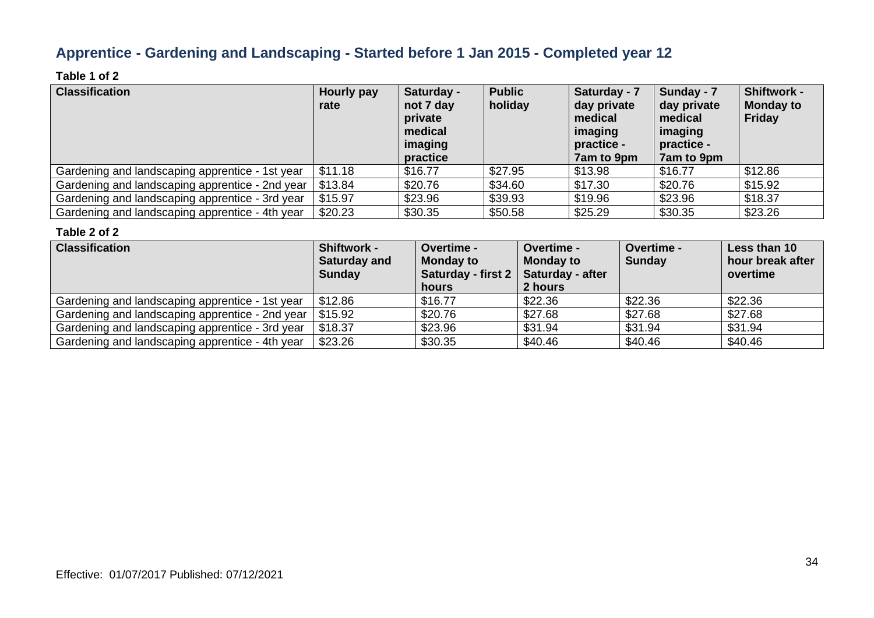### **Apprentice - Gardening and Landscaping - Started before 1 Jan 2015 - Completed year 12**

#### **Table 1 of 2**

| <b>Classification</b>                           | Hourly pay<br>rate | Saturday -<br>not 7 day<br>private<br>medical<br>imaging<br>practice | <b>Public</b><br>holiday | Saturday - 7<br>day private<br>medical<br>imaging<br>practice -<br>7am to 9pm | Sunday - 7<br>day private<br>medical<br>imaging<br>practice -<br><b>7am to 9pm</b> | <b>Shiftwork -</b><br><b>Monday to</b><br>Friday |
|-------------------------------------------------|--------------------|----------------------------------------------------------------------|--------------------------|-------------------------------------------------------------------------------|------------------------------------------------------------------------------------|--------------------------------------------------|
| Gardening and landscaping apprentice - 1st year | \$11.18            | \$16.77                                                              | \$27.95                  | \$13.98                                                                       | \$16.77                                                                            | \$12.86                                          |
| Gardening and landscaping apprentice - 2nd year | \$13.84            | \$20.76                                                              | \$34.60                  | \$17.30                                                                       | \$20.76                                                                            | \$15.92                                          |
| Gardening and landscaping apprentice - 3rd year | \$15.97            | \$23.96                                                              | \$39.93                  | \$19.96                                                                       | \$23.96                                                                            | \$18.37                                          |
| Gardening and landscaping apprentice - 4th year | \$20.23            | \$30.35                                                              | \$50.58                  | \$25.29                                                                       | \$30.35                                                                            | \$23.26                                          |

| <b>Classification</b>                                     | <b>Shiftwork -</b><br><b>Saturday and</b><br><b>Sunday</b> | <b>Overtime -</b><br><b>Monday to</b><br>Saturday - first 2   Saturday - after<br>hours | <b>Overtime -</b><br><b>Monday to</b><br>2 hours | <b>Overtime -</b><br><b>Sunday</b> | Less than 10<br>hour break after<br>overtime |
|-----------------------------------------------------------|------------------------------------------------------------|-----------------------------------------------------------------------------------------|--------------------------------------------------|------------------------------------|----------------------------------------------|
| Gardening and landscaping apprentice - 1st year           | \$12.86                                                    | \$16.77                                                                                 | \$22.36                                          | \$22.36                            | \$22.36                                      |
| Gardening and landscaping apprentice - 2nd year   \$15.92 |                                                            | \$20.76                                                                                 | \$27.68                                          | \$27.68                            | \$27.68                                      |
| Gardening and landscaping apprentice - 3rd year           | \$18.37                                                    | \$23.96                                                                                 | \$31.94                                          | \$31.94                            | \$31.94                                      |
| Gardening and landscaping apprentice - 4th year           | \$23.26                                                    | \$30.35                                                                                 | \$40.46                                          | \$40.46                            | \$40.46                                      |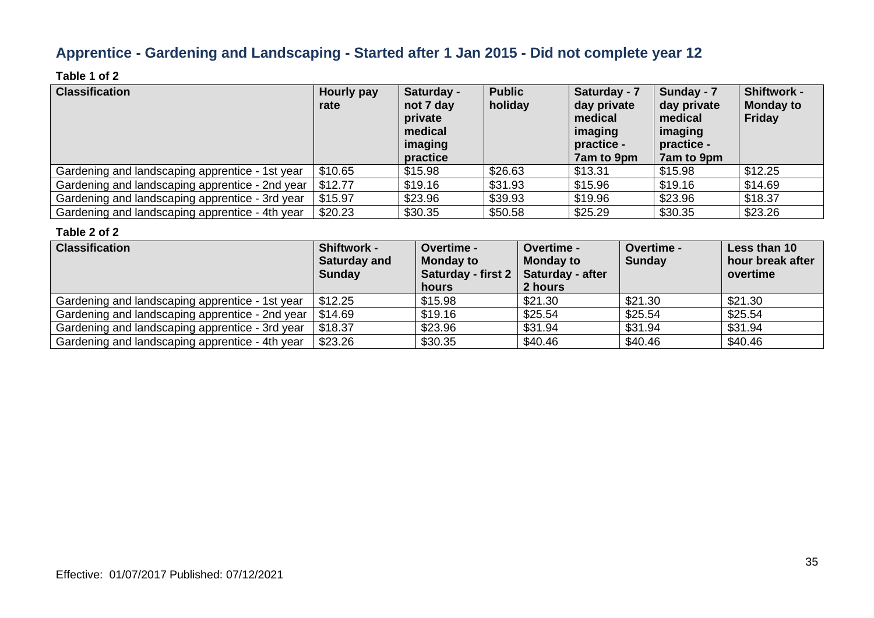### **Apprentice - Gardening and Landscaping - Started after 1 Jan 2015 - Did not complete year 12**

#### **Table 1 of 2**

| <b>Classification</b>                           | Hourly pay<br>rate | Saturday -<br>not 7 day<br>private<br>medical<br>imaging<br>practice | <b>Public</b><br>holiday | Saturday - 7<br>day private<br>medical<br>imaging<br>practice -<br>7am to 9pm | Sunday - 7<br>day private<br>medical<br>imaging<br>practice -<br>7am to 9pm | <b>Shiftwork -</b><br><b>Monday to</b><br>Friday |
|-------------------------------------------------|--------------------|----------------------------------------------------------------------|--------------------------|-------------------------------------------------------------------------------|-----------------------------------------------------------------------------|--------------------------------------------------|
| Gardening and landscaping apprentice - 1st year | \$10.65            | \$15.98                                                              | \$26.63                  | \$13.31                                                                       | \$15.98                                                                     | \$12.25                                          |
| Gardening and landscaping apprentice - 2nd year | \$12.77            | \$19.16                                                              | \$31.93                  | \$15.96                                                                       | \$19.16                                                                     | \$14.69                                          |
| Gardening and landscaping apprentice - 3rd year | \$15.97            | \$23.96                                                              | \$39.93                  | \$19.96                                                                       | \$23.96                                                                     | \$18.37                                          |
| Gardening and landscaping apprentice - 4th year | \$20.23            | \$30.35                                                              | \$50.58                  | \$25.29                                                                       | \$30.35                                                                     | \$23.26                                          |

| <b>Classification</b>                           | <b>Shiftwork -</b><br><b>Saturday and</b><br><b>Sunday</b> | <b>Overtime -</b><br><b>Monday to</b><br>Saturday - first $2 \mid$<br>hours | <b>Overtime -</b><br><b>Monday to</b><br><b>Saturday - after</b><br>2 hours | <b>Overtime -</b><br><b>Sunday</b> | Less than 10<br>hour break after<br>overtime |
|-------------------------------------------------|------------------------------------------------------------|-----------------------------------------------------------------------------|-----------------------------------------------------------------------------|------------------------------------|----------------------------------------------|
| Gardening and landscaping apprentice - 1st year | \$12.25                                                    | \$15.98                                                                     | \$21.30                                                                     | \$21.30                            | \$21.30                                      |
| Gardening and landscaping apprentice - 2nd year | \$14.69                                                    | \$19.16                                                                     | \$25.54                                                                     | \$25.54                            | \$25.54                                      |
| Gardening and landscaping apprentice - 3rd year | \$18.37                                                    | \$23.96                                                                     | \$31.94                                                                     | \$31.94                            | \$31.94                                      |
| Gardening and landscaping apprentice - 4th year | \$23.26                                                    | \$30.35                                                                     | \$40.46                                                                     | \$40.46                            | \$40.46                                      |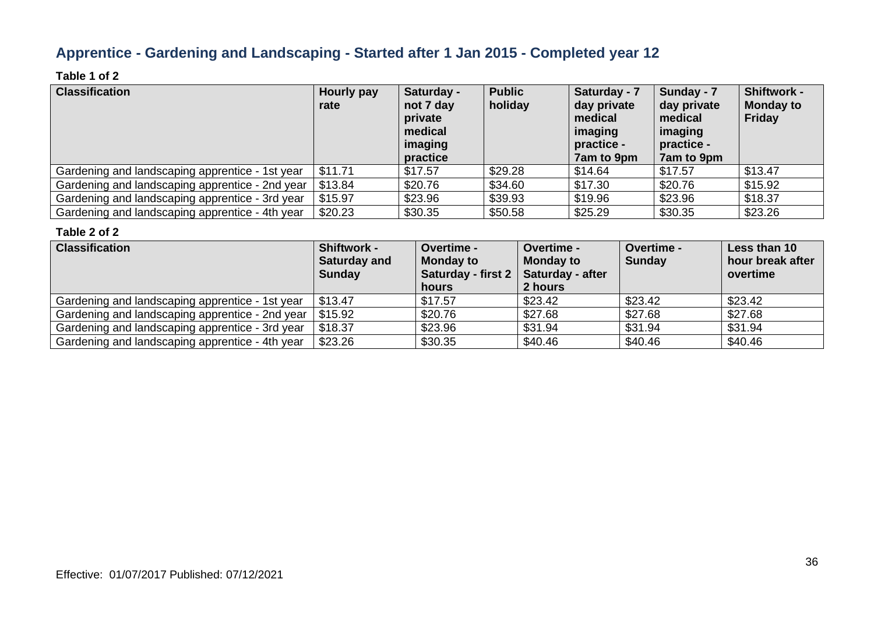### **Apprentice - Gardening and Landscaping - Started after 1 Jan 2015 - Completed year 12**

#### **Table 1 of 2**

| <b>Classification</b>                           | Hourly pay<br>rate | Saturday -<br>not 7 day<br>private<br>medical<br>imaging<br>practice | <b>Public</b><br>holiday | Saturday - 7<br>day private<br>medical<br>imaging<br>practice -<br>7am to 9pm | Sunday - 7<br>day private<br>medical<br>imaging<br>practice -<br>7am to 9pm | <b>Shiftwork -</b><br><b>Monday to</b><br>Friday |
|-------------------------------------------------|--------------------|----------------------------------------------------------------------|--------------------------|-------------------------------------------------------------------------------|-----------------------------------------------------------------------------|--------------------------------------------------|
| Gardening and landscaping apprentice - 1st year | \$11.71            | \$17.57                                                              | \$29.28                  | \$14.64                                                                       | \$17.57                                                                     | \$13.47                                          |
| Gardening and landscaping apprentice - 2nd year | \$13.84            | \$20.76                                                              | \$34.60                  | \$17.30                                                                       | \$20.76                                                                     | \$15.92                                          |
| Gardening and landscaping apprentice - 3rd year | \$15.97            | \$23.96                                                              | \$39.93                  | \$19.96                                                                       | \$23.96                                                                     | \$18.37                                          |
| Gardening and landscaping apprentice - 4th year | \$20.23            | \$30.35                                                              | \$50.58                  | \$25.29                                                                       | \$30.35                                                                     | \$23.26                                          |

| <b>Classification</b>                                     | <b>Shiftwork -</b><br><b>Saturday and</b><br><b>Sunday</b> | <b>Overtime -</b><br><b>Monday to</b><br>Saturday - first 2   Saturday - after<br>hours | <b>Overtime -</b><br><b>Monday to</b><br>2 hours | <b>Overtime -</b><br><b>Sunday</b> | Less than 10<br>hour break after<br>overtime |
|-----------------------------------------------------------|------------------------------------------------------------|-----------------------------------------------------------------------------------------|--------------------------------------------------|------------------------------------|----------------------------------------------|
| Gardening and landscaping apprentice - 1st year           | $\frac{1}{2}$ \$13.47                                      | \$17.57                                                                                 | \$23.42                                          | \$23.42                            | \$23.42                                      |
| Gardening and landscaping apprentice - 2nd year   \$15.92 |                                                            | \$20.76                                                                                 | \$27.68                                          | \$27.68                            | \$27.68                                      |
| Gardening and landscaping apprentice - 3rd year           | \$18.37                                                    | \$23.96                                                                                 | \$31.94                                          | \$31.94                            | \$31.94                                      |
| Gardening and landscaping apprentice - 4th year           | \$23.26                                                    | \$30.35                                                                                 | \$40.46                                          | \$40.46                            | \$40.46                                      |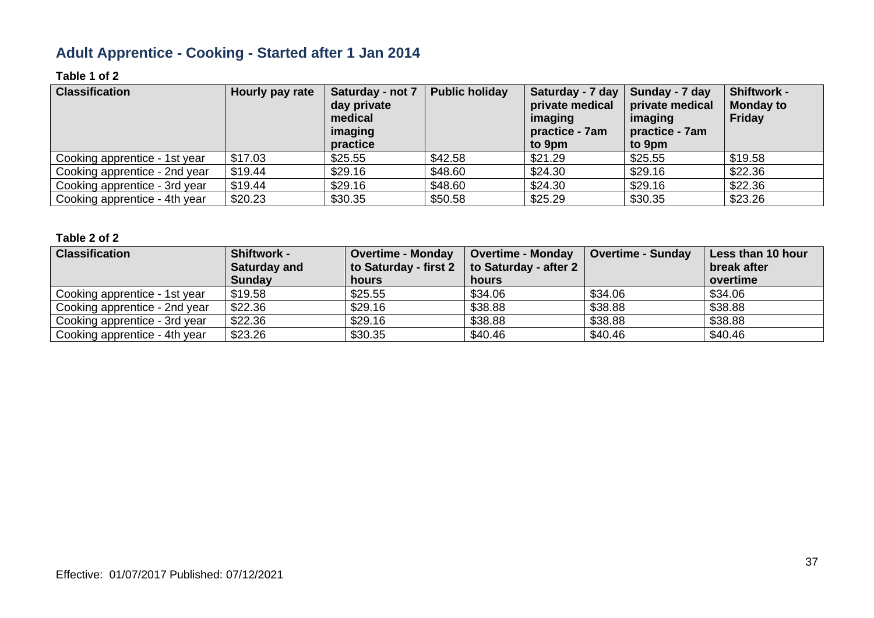### **Adult Apprentice - Cooking - Started after 1 Jan 2014**

#### **Table 1 of 2**

| <b>Classification</b>         | Hourly pay rate | Saturday - not 7<br>day private<br>medical<br>imaging<br>practice | <b>Public holiday</b> | Saturday - 7 day   Sunday - 7 day<br>private medical<br>imaging<br>practice - 7am<br>to 9pm | private medical<br>imaging<br>practice - 7am<br>to 9pm | <b>Shiftwork -</b><br><b>Monday to</b><br>Friday |
|-------------------------------|-----------------|-------------------------------------------------------------------|-----------------------|---------------------------------------------------------------------------------------------|--------------------------------------------------------|--------------------------------------------------|
| Cooking apprentice - 1st year | \$17.03         | \$25.55                                                           | \$42.58               | \$21.29                                                                                     | \$25.55                                                | \$19.58                                          |
| Cooking apprentice - 2nd year | \$19.44         | \$29.16                                                           | \$48.60               | \$24.30                                                                                     | \$29.16                                                | \$22.36                                          |
| Cooking apprentice - 3rd year | \$19.44         | \$29.16                                                           | \$48.60               | \$24.30                                                                                     | \$29.16                                                | \$22.36                                          |
| Cooking apprentice - 4th year | \$20.23         | \$30.35                                                           | \$50.58               | \$25.29                                                                                     | \$30.35                                                | \$23.26                                          |

| <b>Classification</b>         | <b>Shiftwork -</b><br>Saturday and<br><b>Sunday</b> | <b>Overtime - Monday</b><br>to Saturday - first 2<br>hours | <b>Overtime - Monday</b><br>to Saturday - after 2<br>hours | <b>Overtime - Sunday</b> | Less than 10 hour<br>break after<br>overtime |
|-------------------------------|-----------------------------------------------------|------------------------------------------------------------|------------------------------------------------------------|--------------------------|----------------------------------------------|
| Cooking apprentice - 1st year | \$19.58                                             | \$25.55                                                    | \$34.06                                                    | \$34.06                  | \$34.06                                      |
| Cooking apprentice - 2nd year | \$22.36                                             | \$29.16                                                    | \$38.88                                                    | \$38.88                  | \$38.88                                      |
| Cooking apprentice - 3rd year | \$22.36                                             | \$29.16                                                    | \$38.88                                                    | \$38.88                  | \$38.88                                      |
| Cooking apprentice - 4th year | \$23.26                                             | \$30.35                                                    | \$40.46                                                    | \$40.46                  | \$40.46                                      |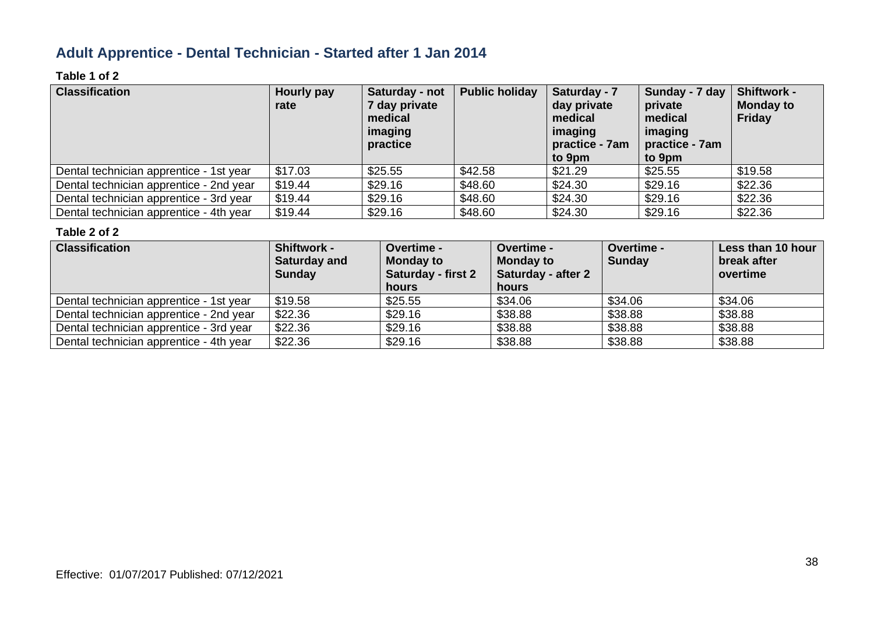### **Adult Apprentice - Dental Technician - Started after 1 Jan 2014**

#### **Table 1 of 2**

| <b>Classification</b>                   | Hourly pay<br>rate | Saturday - not<br>7 day private<br>medical<br>imaging<br>practice | <b>Public holiday</b> | Saturday - 7<br>day private<br>medical<br>imaging<br>practice - 7am<br>to 9pm | Sunday - 7 day<br>private<br>medical<br>imaging<br>practice - 7am<br>to 9pm | <b>Shiftwork -</b><br><b>Monday to</b><br><b>Friday</b> |
|-----------------------------------------|--------------------|-------------------------------------------------------------------|-----------------------|-------------------------------------------------------------------------------|-----------------------------------------------------------------------------|---------------------------------------------------------|
| Dental technician apprentice - 1st year | \$17.03            | \$25.55                                                           | \$42.58               | \$21.29                                                                       | \$25.55                                                                     | \$19.58                                                 |
| Dental technician apprentice - 2nd year | \$19.44            | \$29.16                                                           | \$48.60               | \$24.30                                                                       | \$29.16                                                                     | \$22.36                                                 |
| Dental technician apprentice - 3rd year | \$19.44            | \$29.16                                                           | \$48.60               | \$24.30                                                                       | \$29.16                                                                     | \$22.36                                                 |
| Dental technician apprentice - 4th year | \$19.44            | \$29.16                                                           | \$48.60               | \$24.30                                                                       | \$29.16                                                                     | \$22.36                                                 |

| <b>Classification</b>                   | <b>Shiftwork -</b><br><b>Saturday and</b><br><b>Sunday</b> | <b>Overtime -</b><br><b>Monday to</b><br><b>Saturday - first 2</b><br>hours | <b>Overtime -</b><br><b>Monday to</b><br><b>Saturday - after 2</b><br>hours | <b>Overtime -</b><br><b>Sunday</b> | Less than 10 hour<br>break after<br>overtime |
|-----------------------------------------|------------------------------------------------------------|-----------------------------------------------------------------------------|-----------------------------------------------------------------------------|------------------------------------|----------------------------------------------|
| Dental technician apprentice - 1st year | \$19.58                                                    | \$25.55                                                                     | \$34.06                                                                     | \$34.06                            | \$34.06                                      |
| Dental technician apprentice - 2nd year | \$22.36                                                    | \$29.16                                                                     | \$38.88                                                                     | \$38.88                            | \$38.88                                      |
| Dental technician apprentice - 3rd year | \$22.36                                                    | \$29.16                                                                     | \$38.88                                                                     | \$38.88                            | \$38.88                                      |
| Dental technician apprentice - 4th year | \$22.36                                                    | \$29.16                                                                     | \$38.88                                                                     | \$38.88                            | \$38.88                                      |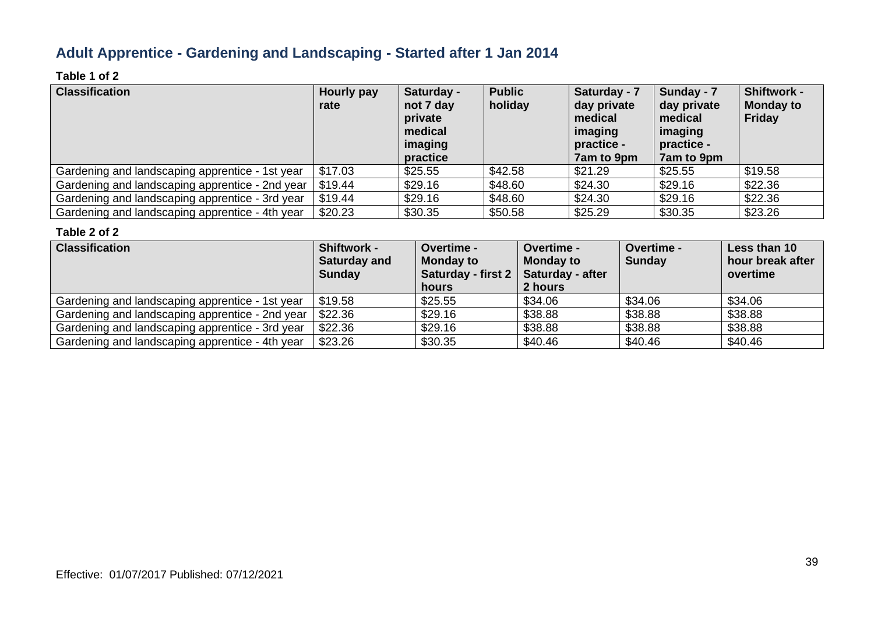### **Adult Apprentice - Gardening and Landscaping - Started after 1 Jan 2014**

#### **Table 1 of 2**

| <b>Classification</b>                           | Hourly pay<br>rate | Saturday -<br>not 7 day<br>private<br>medical<br>imaging<br>practice | <b>Public</b><br>holiday | Saturday - 7<br>day private<br>medical<br>imaging<br>practice -<br>7am to 9pm | Sunday - 7<br>day private<br>medical<br>imaging<br>practice -<br>7am to 9pm | <b>Shiftwork -</b><br><b>Monday to</b><br>Friday |
|-------------------------------------------------|--------------------|----------------------------------------------------------------------|--------------------------|-------------------------------------------------------------------------------|-----------------------------------------------------------------------------|--------------------------------------------------|
| Gardening and landscaping apprentice - 1st year | \$17.03            | \$25.55                                                              | \$42.58                  | \$21.29                                                                       | \$25.55                                                                     | \$19.58                                          |
| Gardening and landscaping apprentice - 2nd year | \$19.44            | \$29.16                                                              | \$48.60                  | \$24.30                                                                       | \$29.16                                                                     | \$22.36                                          |
| Gardening and landscaping apprentice - 3rd year | \$19.44            | \$29.16                                                              | \$48.60                  | \$24.30                                                                       | \$29.16                                                                     | \$22.36                                          |
| Gardening and landscaping apprentice - 4th year | \$20.23            | \$30.35                                                              | \$50.58                  | \$25.29                                                                       | \$30.35                                                                     | \$23.26                                          |

| <b>Classification</b>                           | <b>Shiftwork -</b><br><b>Saturday and</b><br><b>Sunday</b> | <b>Overtime -</b><br><b>Monday to</b><br>Saturday - first $2 \mid$<br>hours | <b>Overtime -</b><br><b>Monday to</b><br><b>Saturday - after</b><br>2 hours | <b>Overtime -</b><br><b>Sunday</b> | Less than 10<br>hour break after<br>overtime |
|-------------------------------------------------|------------------------------------------------------------|-----------------------------------------------------------------------------|-----------------------------------------------------------------------------|------------------------------------|----------------------------------------------|
| Gardening and landscaping apprentice - 1st year | \$19.58                                                    | \$25.55                                                                     | \$34.06                                                                     | \$34.06                            | \$34.06                                      |
| Gardening and landscaping apprentice - 2nd year | \$22.36                                                    | \$29.16                                                                     | \$38.88                                                                     | \$38.88                            | \$38.88                                      |
| Gardening and landscaping apprentice - 3rd year | \$22.36                                                    | \$29.16                                                                     | \$38.88                                                                     | \$38.88                            | \$38.88                                      |
| Gardening and landscaping apprentice - 4th year | \$23.26                                                    | \$30.35                                                                     | \$40.46                                                                     | \$40.46                            | \$40.46                                      |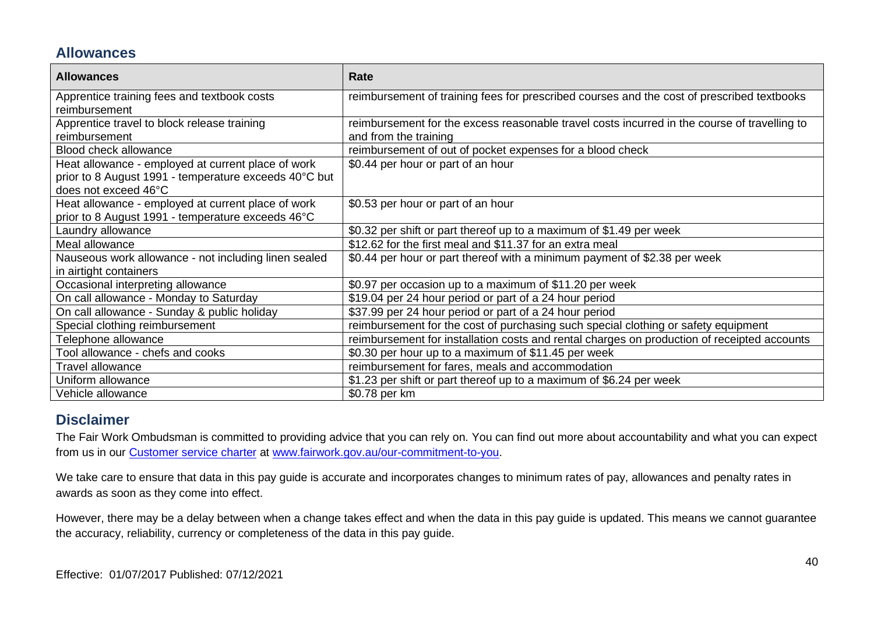#### **Allowances**

| <b>Allowances</b>                                                                                                                   | Rate                                                                                                                  |
|-------------------------------------------------------------------------------------------------------------------------------------|-----------------------------------------------------------------------------------------------------------------------|
| Apprentice training fees and textbook costs<br>reimbursement                                                                        | reimbursement of training fees for prescribed courses and the cost of prescribed textbooks                            |
| Apprentice travel to block release training<br>reimbursement                                                                        | reimbursement for the excess reasonable travel costs incurred in the course of travelling to<br>and from the training |
| <b>Blood check allowance</b>                                                                                                        | reimbursement of out of pocket expenses for a blood check                                                             |
| Heat allowance - employed at current place of work<br>prior to 8 August 1991 - temperature exceeds 40°C but<br>does not exceed 46°C | \$0.44 per hour or part of an hour                                                                                    |
| Heat allowance - employed at current place of work<br>prior to 8 August 1991 - temperature exceeds 46°C                             | \$0.53 per hour or part of an hour                                                                                    |
| Laundry allowance                                                                                                                   | \$0.32 per shift or part thereof up to a maximum of \$1.49 per week                                                   |
| Meal allowance                                                                                                                      | \$12.62 for the first meal and \$11.37 for an extra meal                                                              |
| Nauseous work allowance - not including linen sealed<br>in airtight containers                                                      | \$0.44 per hour or part thereof with a minimum payment of \$2.38 per week                                             |
| Occasional interpreting allowance                                                                                                   | \$0.97 per occasion up to a maximum of \$11.20 per week                                                               |
| On call allowance - Monday to Saturday                                                                                              | \$19.04 per 24 hour period or part of a 24 hour period                                                                |
| On call allowance - Sunday & public holiday                                                                                         | \$37.99 per 24 hour period or part of a 24 hour period                                                                |
| Special clothing reimbursement                                                                                                      | reimbursement for the cost of purchasing such special clothing or safety equipment                                    |
| Telephone allowance                                                                                                                 | reimbursement for installation costs and rental charges on production of receipted accounts                           |
| Tool allowance - chefs and cooks                                                                                                    | \$0.30 per hour up to a maximum of \$11.45 per week                                                                   |
| Travel allowance                                                                                                                    | reimbursement for fares, meals and accommodation                                                                      |
| Uniform allowance                                                                                                                   | \$1.23 per shift or part thereof up to a maximum of \$6.24 per week                                                   |
| Vehicle allowance                                                                                                                   | \$0.78 per km                                                                                                         |

#### **Disclaimer**

The Fair Work Ombudsman is committed to providing advice that you can rely on. You can find out more about accountability and what you can expect from us in our [Customer service charter](https://www.fairwork.gov.au/about-us/our-role-and-purpose/our-priorities/our-commitment-to-you#customer-service-charter) at [www.fairwork.gov.au/our-commitment-to-you.](http://www.fairwork.gov.au/our-commitment-to-you)

We take care to ensure that data in this pay guide is accurate and incorporates changes to minimum rates of pay, allowances and penalty rates in awards as soon as they come into effect.

However, there may be a delay between when a change takes effect and when the data in this pay guide is updated. This means we cannot guarantee the accuracy, reliability, currency or completeness of the data in this pay guide.